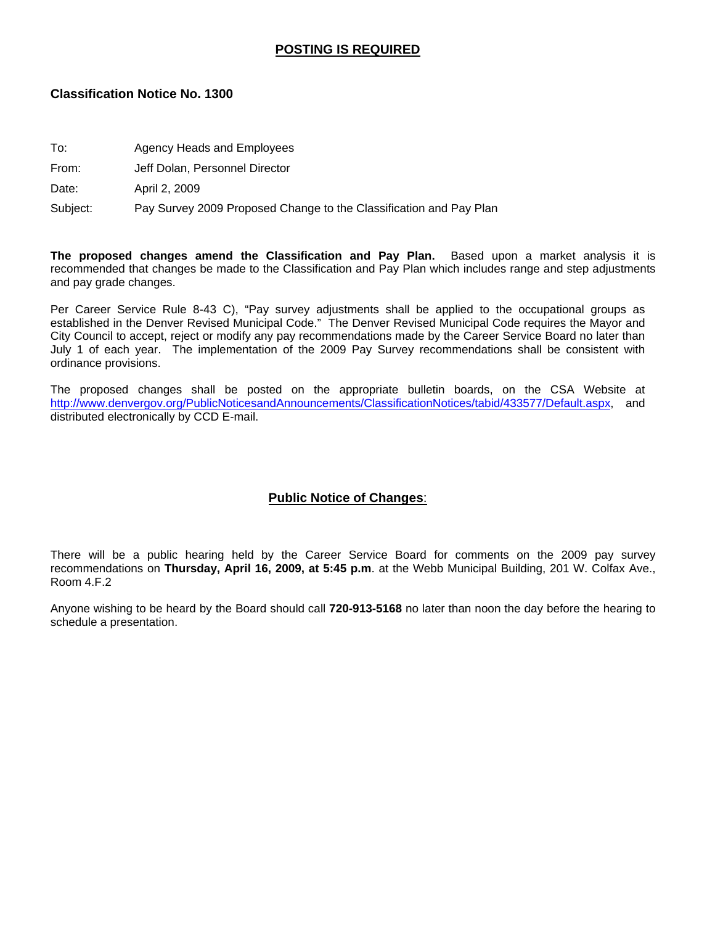#### **POSTING IS REQUIRED**

#### **Classification Notice No. 1300**

- To: Agency Heads and Employees
- From: Jeff Dolan, Personnel Director

Date: April 2, 2009

Subject: Pay Survey 2009 Proposed Change to the Classification and Pay Plan

**The proposed changes amend the Classification and Pay Plan.** Based upon a market analysis it is recommended that changes be made to the Classification and Pay Plan which includes range and step adjustments and pay grade changes.

Per Career Service Rule 8-43 C), "Pay survey adjustments shall be applied to the occupational groups as established in the Denver Revised Municipal Code." The Denver Revised Municipal Code requires the Mayor and City Council to accept, reject or modify any pay recommendations made by the Career Service Board no later than July 1 of each year. The implementation of the 2009 Pay Survey recommendations shall be consistent with ordinance provisions.

The proposed changes shall be posted on the appropriate bulletin boards, on the CSA Website at [http://www.denvergov.org/PublicNoticesandAnnouncements/ClassificationNotices/tabid/433577/Default.aspx,](http://www.denvergov.org/PublicNoticesandAnnouncements/ClassificationNotices/tabid/433577/Default.aspx) and distributed electronically by CCD E-mail.

#### **Public Notice of Changes**:

There will be a public hearing held by the Career Service Board for comments on the 2009 pay survey recommendations on **Thursday, April 16, 2009, at 5:45 p.m**. at the Webb Municipal Building, 201 W. Colfax Ave., Room 4.F.2

Anyone wishing to be heard by the Board should call **720-913-5168** no later than noon the day before the hearing to schedule a presentation.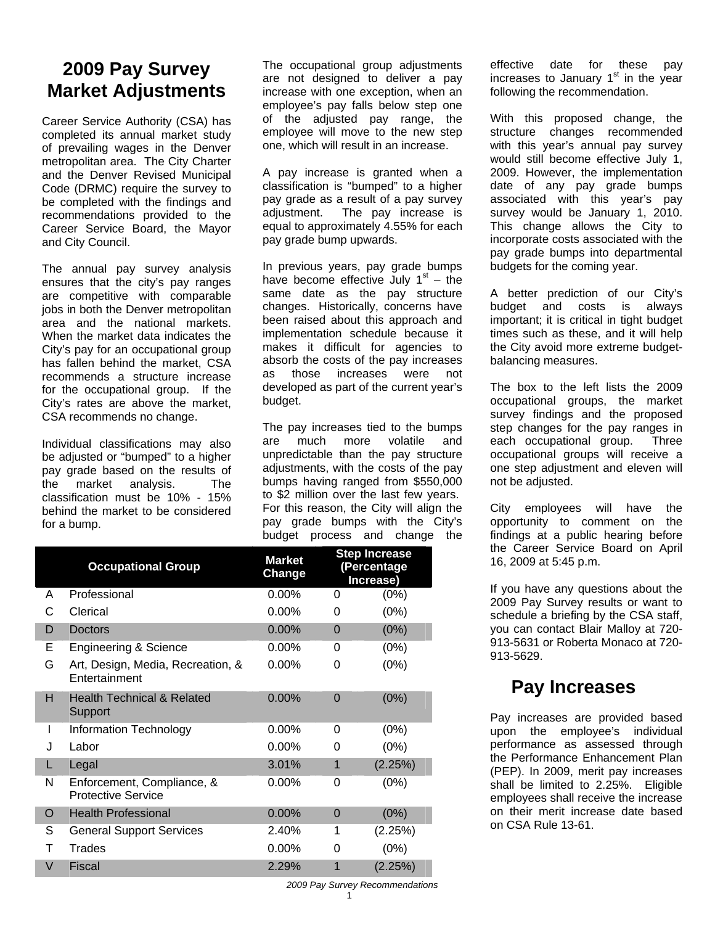# **2009 Pay Survey Market Adjustments**

Career Service Authority (CSA) has completed its annual market study of prevailing wages in the Denver metropolitan area. The City Charter and the Denver Revised Municipal Code (DRMC) require the survey to be completed with the findings and recommendations provided to the Career Service Board, the Mayor and City Council.

The annual pay survey analysis ensures that the city's pay ranges are competitive with comparable jobs in both the Denver metropolitan area and the national markets. When the market data indicates the City's pay for an occupational group has fallen behind the market, CSA recommends a structure increase for the occupational group. If the City's rates are above the market, CSA recommends no change.

Individual classifications may also be adjusted or "bumped" to a higher pay grade based on the results of the market analysis. The classification must be 10% - 15% behind the market to be considered for a bump.

The occupational group adjustments are not designed to deliver a pay increase with one exception, when an employee's pay falls below step one of the adjusted pay range, the employee will move to the new step one, which will result in an increase.

A pay increase is granted when a classification is "bumped" to a higher pay grade as a result of a pay survey adjustment. The pay increase is equal to approximately 4.55% for each pay grade bump upwards.

In previous years, pay grade bumps have become effective July  $1<sup>st</sup>$  – the same date as the pay structure changes. Historically, concerns have been raised about this approach and implementation schedule because it makes it difficult for agencies to absorb the costs of the pay increases as those increases were not developed as part of the current year's budget.

The pay increases tied to the bumps are much more volatile and unpredictable than the pay structure adjustments, with the costs of the pay bumps having ranged from \$550,000 to \$2 million over the last few years. For this reason, the City will align the pay grade bumps with the City's budget process and change the

|          | <b>Occupational Group</b>                               | <b>Market</b><br>Change |                | <b>Step Increase</b><br>(Percentage<br>Increase) |
|----------|---------------------------------------------------------|-------------------------|----------------|--------------------------------------------------|
| A        | Professional                                            | 0.00%                   | 0              | (0%)                                             |
| С        | Clerical                                                | $0.00\%$                | 0              | (0%)                                             |
| D        | <b>Doctors</b>                                          | 0.00%                   | $\overline{0}$ | (0%)                                             |
| Е        | <b>Engineering &amp; Science</b>                        | $0.00\%$                | 0              | (0%)                                             |
| G        | Art, Design, Media, Recreation, &<br>Entertainment      | 0.00%                   | 0              | (0%)                                             |
| н        | <b>Health Technical &amp; Related</b><br>Support        | 0.00%                   | $\overline{0}$ | (0%)                                             |
| I        | Information Technology                                  | $0.00\%$                | 0              | $(0\%)$                                          |
| J        | Labor                                                   | $0.00\%$                | 0              | (0%)                                             |
| L        | Legal                                                   | 3.01%                   | 1              | (2.25%)                                          |
| N        | Enforcement, Compliance, &<br><b>Protective Service</b> | $0.00\%$                | 0              | (0%)                                             |
| $\Omega$ | <b>Health Professional</b>                              | 0.00%                   | $\overline{0}$ | (0%)                                             |
| S        | <b>General Support Services</b>                         | 2.40%                   | 1              | (2.25%)                                          |
| т        | Trades                                                  | $0.00\%$                | 0              | (0%)                                             |
| $\vee$   | <b>Fiscal</b>                                           | 2.29%                   | 1              | (2.25%)                                          |

effective date for these pay increases to January  $1<sup>st</sup>$  in the year following the recommendation.

With this proposed change, the structure changes recommended with this year's annual pay survey would still become effective July 1, 2009. However, the implementation date of any pay grade bumps associated with this year's pay survey would be January 1, 2010. This change allows the City to incorporate costs associated with the pay grade bumps into departmental budgets for the coming year.

A better prediction of our City's budget and costs is always important; it is critical in tight budget times such as these, and it will help the City avoid more extreme budgetbalancing measures.

The box to the left lists the 2009 occupational groups, the market survey findings and the proposed step changes for the pay ranges in each occupational group. Three occupational groups will receive a one step adjustment and eleven will not be adjusted.

City employees will have the opportunity to comment on the findings at a public hearing before the Career Service Board on April 16, 2009 at 5:45 p.m.

If you have any questions about the 2009 Pay Survey results or want to schedule a briefing by the CSA staff, you can contact Blair Malloy at 720- 913-5631 or Roberta Monaco at 720- 913-5629.

# **Pay Increases**

Pay increases are provided based upon the employee's individual performance as assessed through the Performance Enhancement Plan (PEP). In 2009, merit pay increases shall be limited to 2.25%. Eligible employees shall receive the increase on their merit increase date based on CSA Rule 13-61.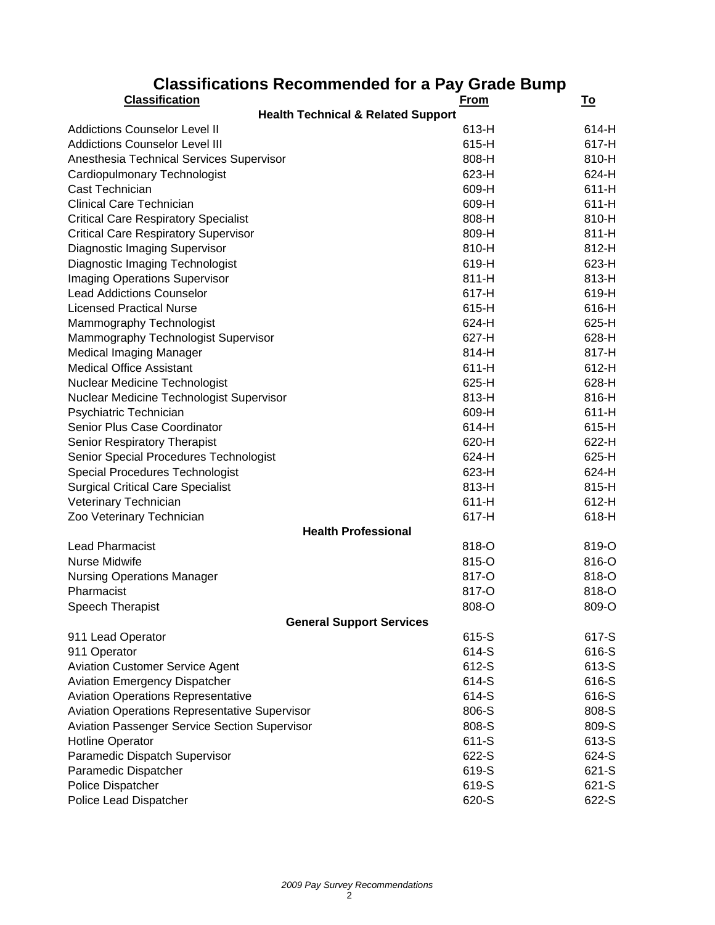| Classifications Recommended for a Fay Grade Dump     |             |           |
|------------------------------------------------------|-------------|-----------|
| <b>Classification</b>                                | <u>From</u> | <u>To</u> |
| <b>Health Technical &amp; Related Support</b>        |             |           |
| <b>Addictions Counselor Level II</b>                 | 613-H       | 614-H     |
| <b>Addictions Counselor Level III</b>                | 615-H       | 617-H     |
| Anesthesia Technical Services Supervisor             | 808-H       | 810-H     |
| Cardiopulmonary Technologist                         | 623-H       | 624-H     |
| Cast Technician                                      | 609-H       | $611-H$   |
| <b>Clinical Care Technician</b>                      | 609-H       | $611-H$   |
| <b>Critical Care Respiratory Specialist</b>          | 808-H       | 810-H     |
| <b>Critical Care Respiratory Supervisor</b>          | 809-H       | 811-H     |
| Diagnostic Imaging Supervisor                        | 810-H       | 812-H     |
| Diagnostic Imaging Technologist                      | 619-H       | 623-H     |
| <b>Imaging Operations Supervisor</b>                 | 811-H       | 813-H     |
| <b>Lead Addictions Counselor</b>                     | 617-H       | 619-H     |
| <b>Licensed Practical Nurse</b>                      | 615-H       | 616-H     |
| Mammography Technologist                             | 624-H       | 625-H     |
| Mammography Technologist Supervisor                  | 627-H       | 628-H     |
| <b>Medical Imaging Manager</b>                       | 814-H       | 817-H     |
| <b>Medical Office Assistant</b>                      | $611-H$     | 612-H     |
| Nuclear Medicine Technologist                        | 625-H       | 628-H     |
| Nuclear Medicine Technologist Supervisor             | 813-H       | 816-H     |
| Psychiatric Technician                               | 609-H       | $611-H$   |
| Senior Plus Case Coordinator                         | 614-H       | 615-H     |
| Senior Respiratory Therapist                         | 620-H       | 622-H     |
| Senior Special Procedures Technologist               | 624-H       | 625-H     |
| Special Procedures Technologist                      | 623-H       | 624-H     |
| <b>Surgical Critical Care Specialist</b>             | 813-H       | 815-H     |
| Veterinary Technician                                | $611-H$     | 612-H     |
| Zoo Veterinary Technician                            | 617-H       | 618-H     |
| <b>Health Professional</b>                           |             |           |
| <b>Lead Pharmacist</b>                               | 818-O       | 819-O     |
| Nurse Midwife                                        |             |           |
|                                                      | 815-O       | 816-O     |
| <b>Nursing Operations Manager</b>                    | 817-O       | 818-O     |
| Pharmacist                                           | 817-O       | 818-O     |
| Speech Therapist                                     | 808-O       | 809-O     |
| <b>General Support Services</b>                      |             |           |
| 911 Lead Operator                                    | 615-S       | 617-S     |
| 911 Operator                                         | 614-S       | 616-S     |
| <b>Aviation Customer Service Agent</b>               | 612-S       | 613-S     |
| <b>Aviation Emergency Dispatcher</b>                 | 614-S       | 616-S     |
| <b>Aviation Operations Representative</b>            | 614-S       | 616-S     |
| <b>Aviation Operations Representative Supervisor</b> | 806-S       | 808-S     |
| <b>Aviation Passenger Service Section Supervisor</b> | 808-S       | 809-S     |
| <b>Hotline Operator</b>                              | 611-S       | 613-S     |
| Paramedic Dispatch Supervisor                        | 622-S       | 624-S     |
| Paramedic Dispatcher                                 | 619-S       | 621-S     |
| Police Dispatcher                                    | 619-S       | 621-S     |
| Police Lead Dispatcher                               | 620-S       | 622-S     |

### **Classifications Recommended for a Pay Grade Bump**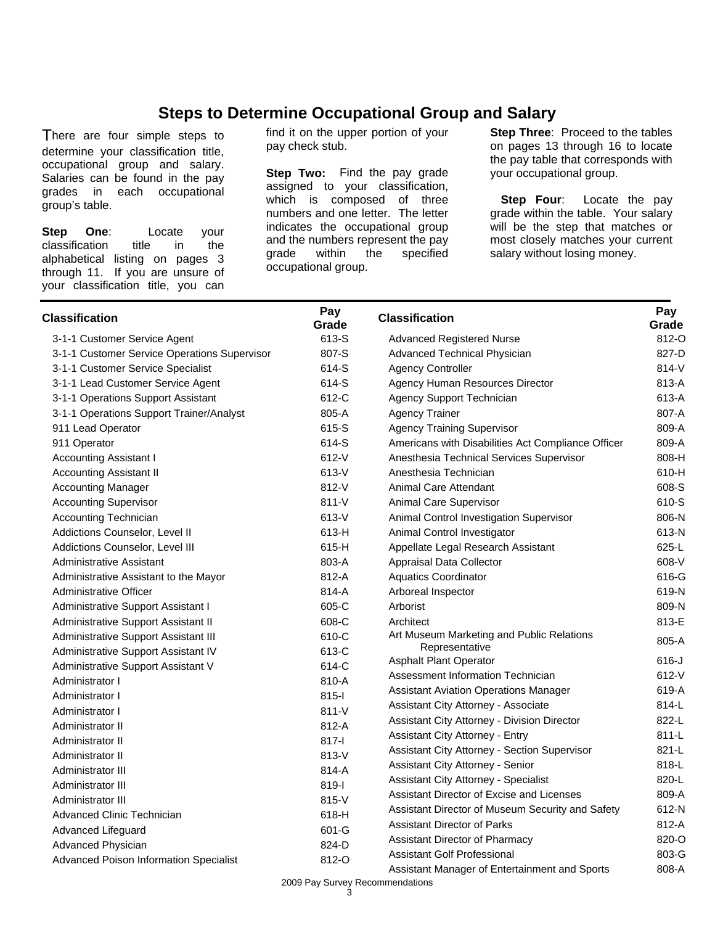### **Steps to Determine Occupational Group and Salary**

There are four simple steps to determine your classification title, occupational group and salary. Salaries can be found in the pay grades in each occupational group's table.

**Step One**: Locate your classification title in the alphabetical listing on pages 3 through 11. If you are unsure of your classification title, you can find it on the upper portion of your pay check stub.

**Step Two:** Find the pay grade assigned to your classification, which is composed of three numbers and one letter. The letter indicates the occupational group and the numbers represent the pay<br>grade within the specified within the specified occupational group.

**Step Three: Proceed to the tables** on pages 13 through 16 to locate the pay table that corresponds with your occupational group.

**Step Four:** Locate the pay grade within the table. Your salary will be the step that matches or most closely matches your current salary without losing money.

| <b>Classification</b>                        | Pay<br>Grade | <b>Classification</b>                              | Pay<br>Grade |
|----------------------------------------------|--------------|----------------------------------------------------|--------------|
| 3-1-1 Customer Service Agent                 | 613-S        | <b>Advanced Registered Nurse</b>                   | 812-O        |
| 3-1-1 Customer Service Operations Supervisor | 807-S        | Advanced Technical Physician                       | 827-D        |
| 3-1-1 Customer Service Specialist            | 614-S        | <b>Agency Controller</b>                           | 814-V        |
| 3-1-1 Lead Customer Service Agent            | 614-S        | Agency Human Resources Director                    | 813-A        |
| 3-1-1 Operations Support Assistant           | 612-C        | Agency Support Technician                          | 613-A        |
| 3-1-1 Operations Support Trainer/Analyst     | 805-A        | <b>Agency Trainer</b>                              | 807-A        |
| 911 Lead Operator                            | 615-S        | <b>Agency Training Supervisor</b>                  | 809-A        |
| 911 Operator                                 | 614-S        | Americans with Disabilities Act Compliance Officer | 809-A        |
| <b>Accounting Assistant I</b>                | 612-V        | Anesthesia Technical Services Supervisor           | 808-H        |
| <b>Accounting Assistant II</b>               | 613-V        | Anesthesia Technician                              | 610-H        |
| <b>Accounting Manager</b>                    | 812-V        | Animal Care Attendant                              | 608-S        |
| <b>Accounting Supervisor</b>                 | $811 - V$    | Animal Care Supervisor                             | 610-S        |
| Accounting Technician                        | 613-V        | Animal Control Investigation Supervisor            | 806-N        |
| Addictions Counselor, Level II               | 613-H        | Animal Control Investigator                        | 613-N        |
| Addictions Counselor, Level III              | 615-H        | Appellate Legal Research Assistant                 | 625-L        |
| Administrative Assistant                     | 803-A        | Appraisal Data Collector                           | 608-V        |
| Administrative Assistant to the Mayor        | 812-A        | <b>Aquatics Coordinator</b>                        | 616-G        |
| Administrative Officer                       | 814-A        | Arboreal Inspector                                 | 619-N        |
| Administrative Support Assistant I           | 605-C        | Arborist                                           | 809-N        |
| Administrative Support Assistant II          | 608-C        | Architect                                          | 813-E        |
| Administrative Support Assistant III         | 610-C        | Art Museum Marketing and Public Relations          | 805-A        |
| Administrative Support Assistant IV          | 613-C        | Representative                                     |              |
| Administrative Support Assistant V           | 614-C        | <b>Asphalt Plant Operator</b>                      | $616-J$      |
| Administrator I                              | 810-A        | Assessment Information Technician                  | 612-V        |
| Administrator I                              | $815-I$      | <b>Assistant Aviation Operations Manager</b>       | 619-A        |
| Administrator I                              | 811-V        | Assistant City Attorney - Associate                | 814-L        |
| Administrator II                             | 812-A        | Assistant City Attorney - Division Director        | 822-L        |
| Administrator II                             | 817-l        | Assistant City Attorney - Entry                    | $811-L$      |
| Administrator II                             | $813-V$      | Assistant City Attorney - Section Supervisor       | 821-L        |
| Administrator III                            | 814-A        | Assistant City Attorney - Senior                   | 818-L        |
| Administrator III                            | 819-l        | <b>Assistant City Attorney - Specialist</b>        | 820-L        |
| Administrator III                            | 815-V        | Assistant Director of Excise and Licenses          | 809-A        |
| Advanced Clinic Technician                   | 618-H        | Assistant Director of Museum Security and Safety   | 612-N        |
| Advanced Lifeguard                           | 601-G        | <b>Assistant Director of Parks</b>                 | 812-A        |
| Advanced Physician                           | 824-D        | Assistant Director of Pharmacy                     | 820-O        |
| Advanced Poison Information Specialist       | 812-O        | <b>Assistant Golf Professional</b>                 | 803-G        |
|                                              |              | Assistant Manager of Entertainment and Sports      | 808-A        |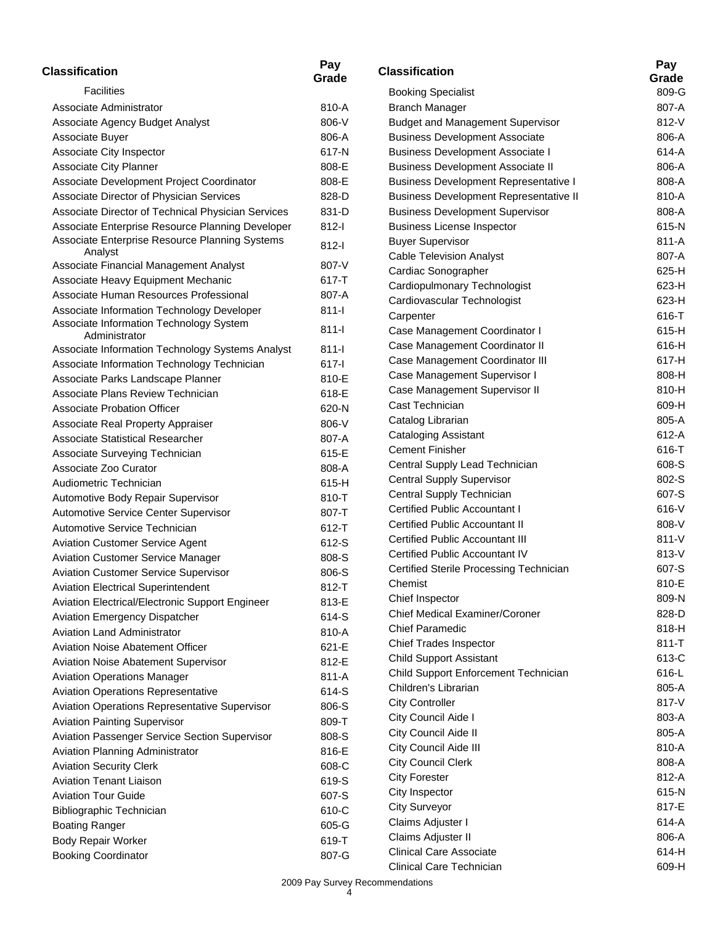| <b>Classification</b>                                    | Pay<br>Grade | <b>Classification</b>                         | Pay<br>Grade |
|----------------------------------------------------------|--------------|-----------------------------------------------|--------------|
| <b>Facilities</b>                                        |              | <b>Booking Specialist</b>                     | 809-G        |
| Associate Administrator                                  | 810-A        | <b>Branch Manager</b>                         | 807-A        |
| Associate Agency Budget Analyst                          | 806-V        | <b>Budget and Management Supervisor</b>       | 812-V        |
| Associate Buyer                                          | 806-A        | <b>Business Development Associate</b>         | 806-A        |
| Associate City Inspector                                 | 617-N        | <b>Business Development Associate I</b>       | 614-A        |
| Associate City Planner                                   | 808-E        | <b>Business Development Associate II</b>      | 806-A        |
| Associate Development Project Coordinator                | 808-E        | <b>Business Development Representative I</b>  | 808-A        |
| Associate Director of Physician Services                 | 828-D        | <b>Business Development Representative II</b> | 810-A        |
| Associate Director of Technical Physician Services       | 831-D        | <b>Business Development Supervisor</b>        | 808-A        |
| Associate Enterprise Resource Planning Developer         | $812-I$      | <b>Business License Inspector</b>             | 615-N        |
| Associate Enterprise Resource Planning Systems           | $812-I$      | <b>Buyer Supervisor</b>                       | 811-A        |
| Analyst                                                  |              | <b>Cable Television Analyst</b>               | 807-A        |
| Associate Financial Management Analyst                   | 807-V        | Cardiac Sonographer                           | 625-H        |
| Associate Heavy Equipment Mechanic                       | 617-T        | Cardiopulmonary Technologist                  | 623-H        |
| Associate Human Resources Professional                   | 807-A        | Cardiovascular Technologist                   | 623-H        |
| Associate Information Technology Developer               | $811-I$      | Carpenter                                     | 616-T        |
| Associate Information Technology System<br>Administrator | $811 -$      | Case Management Coordinator I                 | 615-H        |
| Associate Information Technology Systems Analyst         | $811-I$      | Case Management Coordinator II                | 616-H        |
| Associate Information Technology Technician              | $617-I$      | Case Management Coordinator III               | 617-H        |
| Associate Parks Landscape Planner                        | 810-E        | Case Management Supervisor I                  | 808-H        |
| Associate Plans Review Technician                        | 618-E        | Case Management Supervisor II                 | 810-H        |
| Associate Probation Officer                              | 620-N        | Cast Technician                               | 609-H        |
| Associate Real Property Appraiser                        | 806-V        | Catalog Librarian                             | 805-A        |
| <b>Associate Statistical Researcher</b>                  | 807-A        | <b>Cataloging Assistant</b>                   | 612-A        |
| Associate Surveying Technician                           | 615-E        | <b>Cement Finisher</b>                        | 616-T        |
| Associate Zoo Curator                                    | 808-A        | Central Supply Lead Technician                | 608-S        |
| Audiometric Technician                                   | 615-H        | <b>Central Supply Supervisor</b>              | 802-S        |
| Automotive Body Repair Supervisor                        | 810-T        | Central Supply Technician                     | 607-S        |
| Automotive Service Center Supervisor                     | 807-T        | <b>Certified Public Accountant I</b>          | 616-V        |
| Automotive Service Technician                            | 612-T        | Certified Public Accountant II                | 808-V        |
| <b>Aviation Customer Service Agent</b>                   | 612-S        | <b>Certified Public Accountant III</b>        | $811 - V$    |
| <b>Aviation Customer Service Manager</b>                 | 808-S        | <b>Certified Public Accountant IV</b>         | 813-V        |
| <b>Aviation Customer Service Supervisor</b>              | 806-S        | Certified Sterile Processing Technician       | 607-S        |
| <b>Aviation Electrical Superintendent</b>                | 812-T        | Chemist                                       | 810-E        |
| Aviation Electrical/Electronic Support Engineer          | 813-E        | Chief Inspector                               | 809-N        |
| Aviation Emergency Dispatcher                            | 614-S        | <b>Chief Medical Examiner/Coroner</b>         | 828-D        |
| Aviation Land Administrator                              | 810-A        | <b>Chief Paramedic</b>                        | 818-H        |
| <b>Aviation Noise Abatement Officer</b>                  | 621-E        | <b>Chief Trades Inspector</b>                 | $811 - T$    |
| <b>Aviation Noise Abatement Supervisor</b>               | 812-E        | <b>Child Support Assistant</b>                | 613-C        |
| <b>Aviation Operations Manager</b>                       | $811-A$      | Child Support Enforcement Technician          | 616-L        |
| <b>Aviation Operations Representative</b>                | 614-S        | Children's Librarian                          | 805-A        |
| Aviation Operations Representative Supervisor            | 806-S        | <b>City Controller</b>                        | 817-V        |
| <b>Aviation Painting Supervisor</b>                      | 809-T        | City Council Aide I                           | 803-A        |
| Aviation Passenger Service Section Supervisor            | 808-S        | City Council Aide II                          | 805-A        |
| Aviation Planning Administrator                          | 816-E        | City Council Aide III                         | 810-A        |
| <b>Aviation Security Clerk</b>                           | 608-C        | <b>City Council Clerk</b>                     | 808-A        |
| <b>Aviation Tenant Liaison</b>                           | 619-S        | <b>City Forester</b>                          | 812-A        |
| <b>Aviation Tour Guide</b>                               | 607-S        | City Inspector                                | 615-N        |
| Bibliographic Technician                                 | 610-C        | <b>City Surveyor</b>                          | 817-E        |
| <b>Boating Ranger</b>                                    | 605-G        | Claims Adjuster I                             | 614-A        |
| Body Repair Worker                                       | 619-T        | Claims Adjuster II                            | 806-A        |
| <b>Booking Coordinator</b>                               | 807-G        | <b>Clinical Care Associate</b>                | 614-H        |
|                                                          |              | Clinical Care Technician                      | 609-H        |

|                                                | Pay   |
|------------------------------------------------|-------|
| <b>Classification</b>                          | Grade |
| <b>Booking Specialist</b>                      | 809-G |
| Branch Manager                                 | 807-A |
| <b>Budget and Management Supervisor</b>        | 812-V |
| <b>Business Development Associate</b>          | 806-A |
| <b>Business Development Associate I</b>        | 614-A |
| <b>Business Development Associate II</b>       | 806-A |
| <b>Business Development Representative I</b>   | 808-A |
| <b>Business Development Representative II</b>  | 810-A |
| <b>Business Development Supervisor</b>         | 808-A |
| <b>Business License Inspector</b>              | 615-N |
| <b>Buyer Supervisor</b>                        | 811-A |
| <b>Cable Television Analyst</b>                | 807-A |
| Cardiac Sonographer                            | 625-H |
| Cardiopulmonary Technologist                   | 623-H |
| Cardiovascular Technologist                    | 623-H |
| Carpenter                                      | 616-T |
| Case Management Coordinator I                  | 615-H |
| Case Management Coordinator II                 | 616-H |
| Case Management Coordinator III                | 617-H |
| Case Management Supervisor I                   | 808-H |
| Case Management Supervisor II                  | 810-H |
| Cast Technician                                | 609-H |
| Catalog Librarian                              | 805-A |
| <b>Cataloging Assistant</b>                    | 612-A |
| Cement Finisher                                | 616-T |
| Central Supply Lead Technician                 | 608-S |
| <b>Central Supply Supervisor</b>               | 802-S |
| Central Supply Technician                      | 607-S |
| Certified Public Accountant I                  | 616-V |
| <b>Certified Public Accountant II</b>          | 808-V |
| Certified Public Accountant III                | 811-V |
| <b>Certified Public Accountant IV</b>          | 813-V |
| <b>Certified Sterile Processing Technician</b> | 607-S |
| Chemist                                        | 810-E |
| Chief Inspector                                | 809-N |
| <b>Chief Medical Examiner/Coroner</b>          | 828-D |
| Chief Paramedic                                | 818-H |
| <b>Chief Trades Inspector</b>                  | 811-T |
| <b>Child Support Assistant</b>                 | 613-C |
| Child Support Enforcement Technician           | 616-L |
| Children's Librarian                           | 805-A |
| <b>City Controller</b>                         | 817-V |
| City Council Aide I                            | 803-A |
| City Council Aide II                           | 805-A |
| City Council Aide III                          | 810-A |
| <b>City Council Clerk</b>                      | 808-A |
| <b>City Forester</b>                           | 812-A |
| City Inspector                                 | 615-N |
| <b>City Surveyor</b>                           | 817-E |
| Claims Adjuster I                              | 614-A |
| Claims Adjuster II                             | 806-A |
| <b>Clinical Care Associate</b>                 | 614-H |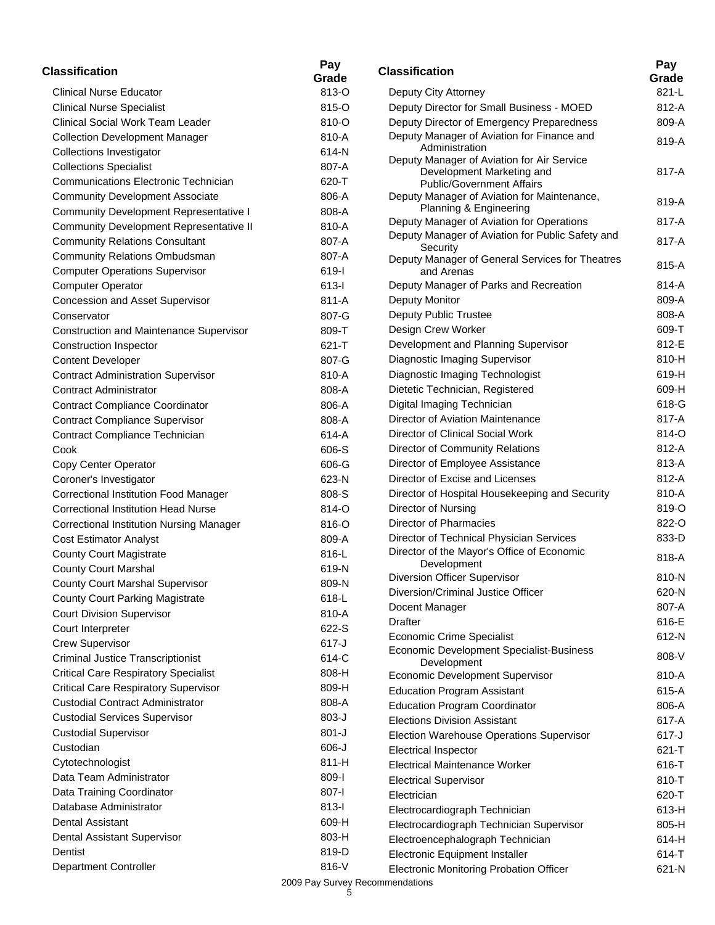| <b>Classification</b>                           | Pay<br>Grade | <b>Classification</b>                                                   | Pay<br>Grade   |
|-------------------------------------------------|--------------|-------------------------------------------------------------------------|----------------|
| <b>Clinical Nurse Educator</b>                  | 813-O        | Deputy City Attorney                                                    | 821-L          |
| <b>Clinical Nurse Specialist</b>                | 815-O        | Deputy Director for Small Business - MOED                               | 812-A          |
| Clinical Social Work Team Leader                | 810-O        | Deputy Director of Emergency Preparedness                               | 809-A          |
| <b>Collection Development Manager</b>           | 810-A        | Deputy Manager of Aviation for Finance and                              | 819-A          |
| <b>Collections Investigator</b>                 | 614-N        | Administration                                                          |                |
| <b>Collections Specialist</b>                   | 807-A        | Deputy Manager of Aviation for Air Service<br>Development Marketing and | 817-A          |
| <b>Communications Electronic Technician</b>     | 620-T        | <b>Public/Government Affairs</b>                                        |                |
| <b>Community Development Associate</b>          | 806-A        | Deputy Manager of Aviation for Maintenance,                             | 819-A          |
| <b>Community Development Representative I</b>   | 808-A        | Planning & Engineering                                                  |                |
| Community Development Representative II         | 810-A        | Deputy Manager of Aviation for Operations                               | 817-A          |
| <b>Community Relations Consultant</b>           | 807-A        | Deputy Manager of Aviation for Public Safety and                        | 817-A          |
| <b>Community Relations Ombudsman</b>            | 807-A        | Security<br>Deputy Manager of General Services for Theatres             |                |
| <b>Computer Operations Supervisor</b>           | 619-l        | and Arenas                                                              | 815-A          |
| <b>Computer Operator</b>                        | $613 - 1$    | Deputy Manager of Parks and Recreation                                  | 814-A          |
| Concession and Asset Supervisor                 | $811-A$      | Deputy Monitor                                                          | 809-A          |
| Conservator                                     | 807-G        | Deputy Public Trustee                                                   | 808-A          |
| Construction and Maintenance Supervisor         | 809-T        | Design Crew Worker                                                      | 609-T          |
| <b>Construction Inspector</b>                   | $621 - T$    | Development and Planning Supervisor                                     | 812-E          |
| <b>Content Developer</b>                        | 807-G        | Diagnostic Imaging Supervisor                                           | 810-H          |
| <b>Contract Administration Supervisor</b>       | 810-A        | Diagnostic Imaging Technologist                                         | 619-H          |
| <b>Contract Administrator</b>                   | 808-A        | Dietetic Technician, Registered                                         | 609-H          |
| <b>Contract Compliance Coordinator</b>          | 806-A        | Digital Imaging Technician                                              | 618-G          |
| <b>Contract Compliance Supervisor</b>           | 808-A        | Director of Aviation Maintenance                                        | 817-A          |
| Contract Compliance Technician                  | 614-A        | Director of Clinical Social Work                                        | 814-O          |
| Cook                                            | 606-S        | Director of Community Relations                                         | 812-A          |
| Copy Center Operator                            | 606-G        | Director of Employee Assistance                                         | 813-A          |
| Coroner's Investigator                          | 623-N        | Director of Excise and Licenses                                         | 812-A          |
| <b>Correctional Institution Food Manager</b>    | 808-S        | Director of Hospital Housekeeping and Security                          | 810-A          |
| <b>Correctional Institution Head Nurse</b>      | 814-O        | Director of Nursing                                                     | 819-O          |
| <b>Correctional Institution Nursing Manager</b> | 816-O        | Director of Pharmacies                                                  | 822-O          |
| <b>Cost Estimator Analyst</b>                   | 809-A        | Director of Technical Physician Services                                | 833-D          |
| <b>County Court Magistrate</b>                  | 816-L        | Director of the Mayor's Office of Economic                              | 818-A          |
| <b>County Court Marshal</b>                     | 619-N        | Development                                                             |                |
| <b>County Court Marshal Supervisor</b>          | 809-N        | Diversion Officer Supervisor                                            | 810-N          |
| <b>County Court Parking Magistrate</b>          | 618-L        | Diversion/Criminal Justice Officer                                      | 620-N          |
| <b>Court Division Supervisor</b>                | 810-A        | Docent Manager                                                          | 807-A          |
| Court Interpreter                               | 622-S        | <b>Drafter</b>                                                          | 616-E          |
| <b>Crew Supervisor</b>                          | $617-J$      | <b>Economic Crime Specialist</b>                                        | 612-N          |
| <b>Criminal Justice Transcriptionist</b>        | 614-C        | Economic Development Specialist-Business                                | 808-V          |
| <b>Critical Care Respiratory Specialist</b>     | 808-H        | Development<br><b>Economic Development Supervisor</b>                   | 810-A          |
| <b>Critical Care Respiratory Supervisor</b>     | 809-H        | <b>Education Program Assistant</b>                                      | 615-A          |
| <b>Custodial Contract Administrator</b>         | 808-A        | <b>Education Program Coordinator</b>                                    | 806-A          |
| <b>Custodial Services Supervisor</b>            | $803-J$      | <b>Elections Division Assistant</b>                                     | 617-A          |
| <b>Custodial Supervisor</b>                     | $801-J$      |                                                                         | $617-J$        |
| Custodian                                       | 606-J        | Election Warehouse Operations Supervisor                                | $621 - T$      |
| Cytotechnologist                                | $811-H$      | <b>Electrical Inspector</b><br><b>Electrical Maintenance Worker</b>     | 616-T          |
| Data Team Administrator                         | $809 - 1$    |                                                                         | 810-T          |
| Data Training Coordinator                       | 807-l        | <b>Electrical Supervisor</b><br>Electrician                             | 620-T          |
| Database Administrator                          | $813-I$      |                                                                         |                |
| Dental Assistant                                | 609-H        | Electrocardiograph Technician                                           | 613-H          |
| Dental Assistant Supervisor                     | 803-H        | Electrocardiograph Technician Supervisor                                | 805-H          |
| Dentist                                         | 819-D        | Electroencephalograph Technician<br>Electronic Equipment Installer      | 614-H<br>614-T |
| Department Controller                           | 816-V        |                                                                         |                |
|                                                 |              | Electronic Monitoring Probation Officer                                 | 621-N          |

| Classification                                                                                             | Pay       |
|------------------------------------------------------------------------------------------------------------|-----------|
|                                                                                                            | Grade     |
| Deputy City Attorney                                                                                       | 821-L     |
| Deputy Director for Small Business - MOED                                                                  | 812-A     |
| Deputy Director of Emergency Preparedness                                                                  | 809-A     |
| Deputy Manager of Aviation for Finance and<br>Administration<br>Deputy Manager of Aviation for Air Service | 819-A     |
| Development Marketing and<br><b>Public/Government Affairs</b>                                              | 817-A     |
| Deputy Manager of Aviation for Maintenance,<br>Planning & Engineering                                      | 819-A     |
| Deputy Manager of Aviation for Operations                                                                  | 817-A     |
| Deputy Manager of Aviation for Public Safety and<br>Security                                               | 817-A     |
| Deputy Manager of General Services for Theatres<br>and Arenas                                              | 815-A     |
| Deputy Manager of Parks and Recreation                                                                     | 814-A     |
| Deputy Monitor                                                                                             | 809-A     |
| Deputy Public Trustee                                                                                      | 808-A     |
| Design Crew Worker                                                                                         | 609-T     |
| Development and Planning Supervisor                                                                        | 812-E     |
| Diagnostic Imaging Supervisor                                                                              | 810-H     |
| Diagnostic Imaging Technologist                                                                            | 619-H     |
| Dietetic Technician, Registered                                                                            | 609-H     |
| Digital Imaging Technician                                                                                 | 618-G     |
| Director of Aviation Maintenance                                                                           | 817-A     |
| Director of Clinical Social Work                                                                           | 814-O     |
| Director of Community Relations                                                                            | 812-A     |
| Director of Employee Assistance                                                                            | 813-A     |
| Director of Excise and Licenses                                                                            | 812-A     |
| Director of Hospital Housekeeping and Security                                                             | 810-A     |
| Director of Nursing                                                                                        | 819-O     |
| Director of Pharmacies                                                                                     | 822-0     |
| Director of Technical Physician Services                                                                   | 833-D     |
| Director of the Mayor's Office of Economic                                                                 | 818-A     |
| Development<br><b>Diversion Officer Supervisor</b>                                                         | 810-N     |
| Diversion/Criminal Justice Officer                                                                         | 620-N     |
|                                                                                                            | 807-A     |
| Docent Manager<br><b>Drafter</b>                                                                           | 616-E     |
|                                                                                                            | 612-N     |
| <b>Economic Crime Specialist</b><br>Economic Development Specialist-Business                               |           |
| Development                                                                                                | 808-V     |
| <b>Economic Development Supervisor</b>                                                                     | 810-A     |
| <b>Education Program Assistant</b>                                                                         | 615-A     |
| <b>Education Program Coordinator</b>                                                                       | 806-A     |
| <b>Elections Division Assistant</b>                                                                        | 617-A     |
| <b>Election Warehouse Operations Supervisor</b>                                                            | $617 - J$ |
| <b>Electrical Inspector</b>                                                                                | 621-T     |
| <b>Electrical Maintenance Worker</b>                                                                       | 616-T     |
| <b>Electrical Supervisor</b>                                                                               | 810-T     |
| Electrician                                                                                                | 620-T     |
| Electrocardiograph Technician                                                                              | 613-H     |
| Electrocardiograph Technician Supervisor                                                                   | 805-H     |
| Electroencephalograph Technician                                                                           | 614-H     |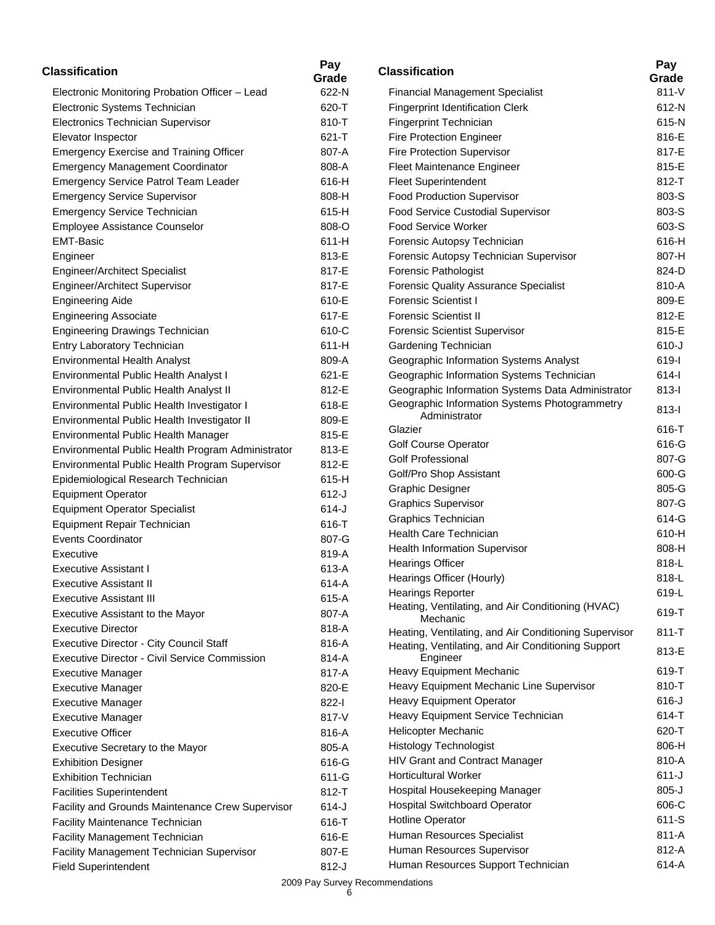| <b>Classification</b>                                | Pay<br>Grade | <b>Classification</b>                                          | Pay<br>Grade |
|------------------------------------------------------|--------------|----------------------------------------------------------------|--------------|
| Electronic Monitoring Probation Officer - Lead       | 622-N        | <b>Financial Management Specialist</b>                         | $811 - V$    |
| Electronic Systems Technician                        | 620-T        | <b>Fingerprint Identification Clerk</b>                        | 612-N        |
| Electronics Technician Supervisor                    | 810-T        | Fingerprint Technician                                         | 615-N        |
| Elevator Inspector                                   | $621 - T$    | <b>Fire Protection Engineer</b>                                | 816-E        |
| <b>Emergency Exercise and Training Officer</b>       | 807-A        | Fire Protection Supervisor                                     | 817-E        |
| <b>Emergency Management Coordinator</b>              | 808-A        | Fleet Maintenance Engineer                                     | 815-E        |
| Emergency Service Patrol Team Leader                 | 616-H        | <b>Fleet Superintendent</b>                                    | 812-T        |
| <b>Emergency Service Supervisor</b>                  | 808-H        | <b>Food Production Supervisor</b>                              | 803-S        |
| <b>Emergency Service Technician</b>                  | 615-H        | Food Service Custodial Supervisor                              | 803-S        |
| Employee Assistance Counselor                        | 808-O        | <b>Food Service Worker</b>                                     | 603-S        |
| <b>EMT-Basic</b>                                     | 611-H        | Forensic Autopsy Technician                                    | 616-H        |
| Engineer                                             | 813-E        | Forensic Autopsy Technician Supervisor                         | 807-H        |
| <b>Engineer/Architect Specialist</b>                 | 817-E        | Forensic Pathologist                                           | 824-D        |
| Engineer/Architect Supervisor                        | 817-E        | <b>Forensic Quality Assurance Specialist</b>                   | 810-A        |
| <b>Engineering Aide</b>                              | 610-E        | <b>Forensic Scientist I</b>                                    | 809-E        |
| <b>Engineering Associate</b>                         | 617-E        | <b>Forensic Scientist II</b>                                   | 812-E        |
| <b>Engineering Drawings Technician</b>               | 610-C        | <b>Forensic Scientist Supervisor</b>                           | 815-E        |
| Entry Laboratory Technician                          | 611-H        | Gardening Technician                                           | $610-J$      |
| <b>Environmental Health Analyst</b>                  | 809-A        | Geographic Information Systems Analyst                         | 619-l        |
| Environmental Public Health Analyst I                | 621-E        | Geographic Information Systems Technician                      | $614 -$      |
| Environmental Public Health Analyst II               | 812-E        | Geographic Information Systems Data Administrator              | $813 -$      |
| Environmental Public Health Investigator I           | 618-E        | Geographic Information Systems Photogrammetry                  |              |
| Environmental Public Health Investigator II          | 809-E        | Administrator                                                  | $813 -$      |
| Environmental Public Health Manager                  | 815-E        | Glazier                                                        | 616-T        |
| Environmental Public Health Program Administrator    | 813-E        | <b>Golf Course Operator</b>                                    | 616-G        |
| Environmental Public Health Program Supervisor       | 812-E        | <b>Golf Professional</b>                                       | 807-G        |
| Epidemiological Research Technician                  | 615-H        | Golf/Pro Shop Assistant                                        | 600-G        |
| <b>Equipment Operator</b>                            | $612-J$      | <b>Graphic Designer</b>                                        | 805-G        |
| <b>Equipment Operator Specialist</b>                 | $614 - J$    | <b>Graphics Supervisor</b>                                     | 807-G        |
| Equipment Repair Technician                          | 616-T        | Graphics Technician                                            | 614-G        |
| Events Coordinator                                   | 807-G        | <b>Health Care Technician</b>                                  | 610-H        |
| Executive                                            | 819-A        | <b>Health Information Supervisor</b>                           | 808-H        |
| <b>Executive Assistant I</b>                         | 613-A        | <b>Hearings Officer</b>                                        | 818-L        |
| <b>Executive Assistant II</b>                        | 614-A        | Hearings Officer (Hourly)                                      | 818-L        |
| <b>Executive Assistant III</b>                       | 615-A        | <b>Hearings Reporter</b>                                       | 619-L        |
| Executive Assistant to the Mayor                     | 807-A        | Heating, Ventilating, and Air Conditioning (HVAC)              | 619-T        |
| <b>Executive Director</b>                            | 818-A        | Mechanic                                                       |              |
| Executive Director - City Council Staff              | 816-A        | Heating, Ventilating, and Air Conditioning Supervisor          | $811 - T$    |
| <b>Executive Director - Civil Service Commission</b> | 814-A        | Heating, Ventilating, and Air Conditioning Support<br>Engineer | 813-E        |
| <b>Executive Manager</b>                             | 817-A        | Heavy Equipment Mechanic                                       | 619-T        |
| <b>Executive Manager</b>                             | 820-E        | Heavy Equipment Mechanic Line Supervisor                       | 810-T        |
| <b>Executive Manager</b>                             | 822-l        | Heavy Equipment Operator                                       | $616 - J$    |
| <b>Executive Manager</b>                             | 817-V        | Heavy Equipment Service Technician                             | 614-T        |
| <b>Executive Officer</b>                             | 816-A        | Helicopter Mechanic                                            | 620-T        |
| Executive Secretary to the Mayor                     | 805-A        | <b>Histology Technologist</b>                                  | 806-H        |
| <b>Exhibition Designer</b>                           | 616-G        | HIV Grant and Contract Manager                                 | 810-A        |
| <b>Exhibition Technician</b>                         | 611-G        | <b>Horticultural Worker</b>                                    | $611-J$      |
| <b>Facilities Superintendent</b>                     | 812-T        | Hospital Housekeeping Manager                                  | $805 - J$    |
| Facility and Grounds Maintenance Crew Supervisor     | $614 - J$    | <b>Hospital Switchboard Operator</b>                           | 606-C        |
| Facility Maintenance Technician                      | 616-T        | <b>Hotline Operator</b>                                        | 611-S        |
| Facility Management Technician                       | 616-E        | Human Resources Specialist                                     | 811-A        |
| Facility Management Technician Supervisor            | 807-E        | Human Resources Supervisor                                     | 812-A        |
| <b>Field Superintendent</b>                          | $812-J$      | Human Resources Support Technician                             | 614-A        |

| Classification                                                 | Pay<br>Grade |
|----------------------------------------------------------------|--------------|
| <b>Financial Management Specialist</b>                         | $811 - V$    |
| <b>Fingerprint Identification Clerk</b>                        | 612-N        |
| Fingerprint Technician                                         | 615-N        |
| <b>Fire Protection Engineer</b>                                | 816-E        |
| <b>Fire Protection Supervisor</b>                              | 817-E        |
| Fleet Maintenance Engineer                                     | 815-E        |
| <b>Fleet Superintendent</b>                                    | 812-T        |
| <b>Food Production Supervisor</b>                              | 803-S        |
| Food Service Custodial Supervisor                              | 803-S        |
| <b>Food Service Worker</b>                                     | 603-S        |
| Forensic Autopsy Technician                                    | 616-H        |
| Forensic Autopsy Technician Supervisor                         | 807-H        |
| <b>Forensic Pathologist</b>                                    | 824-D        |
| <b>Forensic Quality Assurance Specialist</b>                   | 810-A        |
| <b>Forensic Scientist I</b>                                    | 809-E        |
| <b>Forensic Scientist II</b>                                   | 812-E        |
| <b>Forensic Scientist Supervisor</b>                           | 815-E        |
| Gardening Technician                                           | $610 - J$    |
| Geographic Information Systems Analyst                         | 619-l        |
| Geographic Information Systems Technician                      | 614-l        |
| Geographic Information Systems Data Administrator              | 813-l        |
| Geographic Information Systems Photogrammetry<br>Administrator | 813-l        |
| Glazier                                                        | 616-T        |
| Golf Course Operator                                           | 616-G        |
| <b>Golf Professional</b>                                       | 807-G        |
| Golf/Pro Shop Assistant                                        | 600-G        |
| <b>Graphic Designer</b>                                        | 805-G        |
| <b>Graphics Supervisor</b>                                     | 807-G        |
| <b>Graphics Technician</b>                                     | 614-G        |
| <b>Health Care Technician</b>                                  | 610-H        |
| <b>Health Information Supervisor</b>                           | 808-H        |
| <b>Hearings Officer</b>                                        | 818-L        |
| Hearings Officer (Hourly)                                      | 818-L        |
| <b>Hearings Reporter</b>                                       | 619-L        |
| Heating, Ventilating, and Air Conditioning (HVAC)<br>Mechanic  | 619-T        |
| Heating, Ventilating, and Air Conditioning Supervisor          | 811-T        |
| Heating, Ventilating, and Air Conditioning Support<br>Engineer | 813-E        |
| Heavy Equipment Mechanic                                       | 619-T        |
| Heavy Equipment Mechanic Line Supervisor                       | 810-T        |
| <b>Heavy Equipment Operator</b>                                | $616 - J$    |
| Heavy Equipment Service Technician                             | 614-T        |
| Helicopter Mechanic                                            | 620-T        |
| <b>Histology Technologist</b>                                  | 806-H        |
| <b>HIV Grant and Contract Manager</b>                          | 810-A        |
| <b>Horticultural Worker</b>                                    | 611-J        |
| Hospital Housekeeping Manager                                  | $805 - J$    |
| <b>Hospital Switchboard Operator</b>                           | 606-C        |
| <b>Hotline Operator</b>                                        | 611-S        |
| Human Resources Specialist                                     | $811 - A$    |
| Human Resources Supervisor                                     | 812-A        |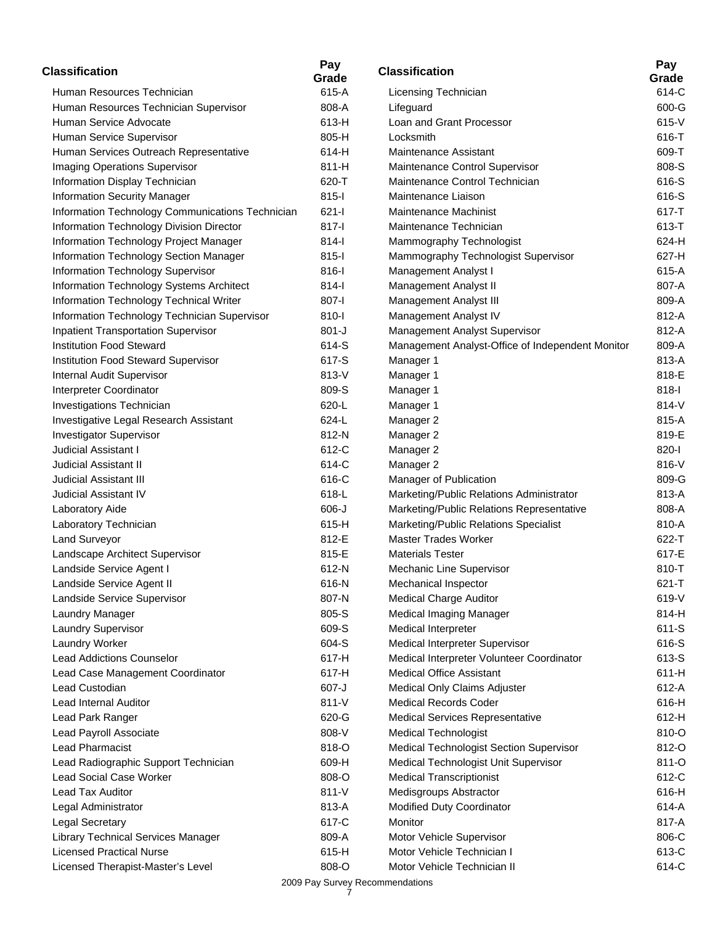| <b>Classification</b>                            | Pay<br>Grade | <b>Classification</b>                            | Pay<br>Grade |
|--------------------------------------------------|--------------|--------------------------------------------------|--------------|
| Human Resources Technician                       | 615-A        | Licensing Technician                             | 614-C        |
| Human Resources Technician Supervisor            | 808-A        | Lifeguard                                        | 600-G        |
| Human Service Advocate                           | 613-H        | Loan and Grant Processor                         | 615-V        |
| Human Service Supervisor                         | 805-H        | Locksmith                                        | 616-T        |
| Human Services Outreach Representative           | 614-H        | Maintenance Assistant                            | 609-T        |
| <b>Imaging Operations Supervisor</b>             | 811-H        | Maintenance Control Supervisor                   | 808-S        |
| Information Display Technician                   | 620-T        | Maintenance Control Technician                   | 616-S        |
| <b>Information Security Manager</b>              | $815 -$      | Maintenance Liaison                              | 616-S        |
| Information Technology Communications Technician | $621 -$      | <b>Maintenance Machinist</b>                     | 617-T        |
| Information Technology Division Director         | 817-l        | Maintenance Technician                           | 613-T        |
| Information Technology Project Manager           | $814 -$      | Mammography Technologist                         | 624-H        |
| Information Technology Section Manager           | $815 -$      | Mammography Technologist Supervisor              | 627-H        |
| Information Technology Supervisor                | 816-l        | Management Analyst I                             | 615-A        |
| Information Technology Systems Architect         | $814 -$      | Management Analyst II                            | 807-A        |
| Information Technology Technical Writer          | 807-l        | Management Analyst III                           | 809-A        |
| Information Technology Technician Supervisor     | 810-l        | Management Analyst IV                            | 812-A        |
| <b>Inpatient Transportation Supervisor</b>       | $801 - J$    | Management Analyst Supervisor                    | 812-A        |
| <b>Institution Food Steward</b>                  | 614-S        | Management Analyst-Office of Independent Monitor | 809-A        |
| <b>Institution Food Steward Supervisor</b>       | 617-S        | Manager 1                                        | 813-A        |
| Internal Audit Supervisor                        | 813-V        | Manager 1                                        | 818-E        |
| Interpreter Coordinator                          | 809-S        | Manager 1                                        | $818-I$      |
| Investigations Technician                        | 620-L        | Manager 1                                        | 814-V        |
| Investigative Legal Research Assistant           | 624-L        | Manager 2                                        | 815-A        |
| <b>Investigator Supervisor</b>                   | 812-N        | Manager 2                                        | 819-E        |
| Judicial Assistant I                             | 612-C        | Manager 2                                        | 820-l        |
| <b>Judicial Assistant II</b>                     | 614-C        | Manager 2                                        | 816-V        |
| <b>Judicial Assistant III</b>                    | 616-C        | Manager of Publication                           | 809-G        |
| <b>Judicial Assistant IV</b>                     | 618-L        | Marketing/Public Relations Administrator         | 813-A        |
| Laboratory Aide                                  | $606 - J$    | Marketing/Public Relations Representative        | 808-A        |
| Laboratory Technician                            | 615-H        | Marketing/Public Relations Specialist            | 810-A        |
| Land Surveyor                                    | 812-E        | <b>Master Trades Worker</b>                      | 622-T        |
| Landscape Architect Supervisor                   | 815-E        | <b>Materials Tester</b>                          | 617-E        |
| Landside Service Agent I                         | 612-N        | Mechanic Line Supervisor                         | 810-T        |
| Landside Service Agent II                        | 616-N        | Mechanical Inspector                             | 621-T        |
| Landside Service Supervisor                      | 807-N        | <b>Medical Charge Auditor</b>                    | 619-V        |
| Laundry Manager                                  | 805-S        | Medical Imaging Manager                          | 814-H        |
| Laundry Supervisor                               | 609-S        | Medical Interpreter                              | 611-S        |
| Laundry Worker                                   | 604-S        | Medical Interpreter Supervisor                   | 616-S        |
| <b>Lead Addictions Counselor</b>                 | 617-H        | Medical Interpreter Volunteer Coordinator        | 613-S        |
| Lead Case Management Coordinator                 | 617-H        | <b>Medical Office Assistant</b>                  | 611-H        |
| Lead Custodian                                   | 607-J        | Medical Only Claims Adjuster                     | 612-A        |
| Lead Internal Auditor                            | 811-V        | <b>Medical Records Coder</b>                     | 616-H        |
| Lead Park Ranger                                 | 620-G        | <b>Medical Services Representative</b>           | 612-H        |
| Lead Payroll Associate                           | 808-V        | <b>Medical Technologist</b>                      | 810-O        |
| Lead Pharmacist                                  | 818-O        | Medical Technologist Section Supervisor          | 812-O        |
| Lead Radiographic Support Technician             | 609-H        | Medical Technologist Unit Supervisor             | 811-O        |
| Lead Social Case Worker                          | 808-O        | <b>Medical Transcriptionist</b>                  | 612-C        |
| Lead Tax Auditor                                 | 811-V        | Medisgroups Abstractor                           | 616-H        |
| Legal Administrator                              | 813-A        | Modified Duty Coordinator                        | 614-A        |
| Legal Secretary                                  | 617-C        | Monitor                                          | 817-A        |
| Library Technical Services Manager               | 809-A        | Motor Vehicle Supervisor                         | 806-C        |
| <b>Licensed Practical Nurse</b>                  | 615-H        | Motor Vehicle Technician I                       | 613-C        |
| Licensed Therapist-Master's Level                | 808-O        | Motor Vehicle Technician II                      | 614-C        |
|                                                  |              |                                                  |              |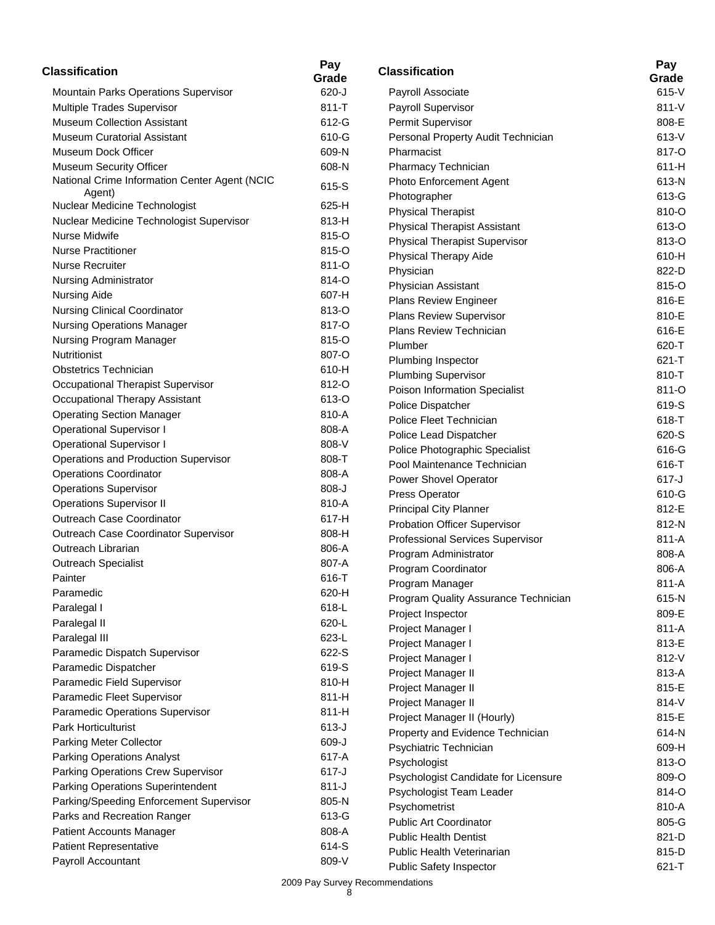| <b>Classification</b>                         | Pay<br>Grade | <b>Classification</b>                | Pay<br>Grade |
|-----------------------------------------------|--------------|--------------------------------------|--------------|
| Mountain Parks Operations Supervisor          | $620 - J$    | Payroll Associate                    | 615-V        |
| Multiple Trades Supervisor                    | $811 - T$    | Payroll Supervisor                   | $811-V$      |
| <b>Museum Collection Assistant</b>            | 612-G        | Permit Supervisor                    | 808-E        |
| <b>Museum Curatorial Assistant</b>            | 610-G        | Personal Property Audit Technician   | 613-V        |
| Museum Dock Officer                           | 609-N        | Pharmacist                           | 817-O        |
| Museum Security Officer                       | 608-N        | Pharmacy Technician                  | 611-H        |
| National Crime Information Center Agent (NCIC | 615-S        | Photo Enforcement Agent              | 613-N        |
| Agent)                                        |              | Photographer                         | 613-G        |
| Nuclear Medicine Technologist                 | 625-H        | <b>Physical Therapist</b>            | 810-O        |
| Nuclear Medicine Technologist Supervisor      | 813-H        | <b>Physical Therapist Assistant</b>  | 613-O        |
| Nurse Midwife                                 | 815-O        | Physical Therapist Supervisor        | 813-O        |
| <b>Nurse Practitioner</b>                     | 815-O        | Physical Therapy Aide                | 610-H        |
| <b>Nurse Recruiter</b>                        | 811-O        | Physician                            | 822-D        |
| Nursing Administrator                         | 814-O        | Physician Assistant                  | 815-O        |
| <b>Nursing Aide</b>                           | 607-H        | Plans Review Engineer                | 816-E        |
| <b>Nursing Clinical Coordinator</b>           | 813-O        | <b>Plans Review Supervisor</b>       | 810-E        |
| <b>Nursing Operations Manager</b>             | 817-O        | Plans Review Technician              | 616-E        |
| Nursing Program Manager                       | 815-O        | Plumber                              | 620-T        |
| Nutritionist                                  | 807-O        | Plumbing Inspector                   | 621-T        |
| <b>Obstetrics Technician</b>                  | 610-H        | <b>Plumbing Supervisor</b>           | 810-T        |
| Occupational Therapist Supervisor             | 812-O        | Poison Information Specialist        | 811-O        |
| Occupational Therapy Assistant                | 613-O        | Police Dispatcher                    | 619-S        |
| <b>Operating Section Manager</b>              | 810-A        | Police Fleet Technician              | 618-T        |
| <b>Operational Supervisor I</b>               | 808-A        | Police Lead Dispatcher               | 620-S        |
| <b>Operational Supervisor I</b>               | 808-V        | Police Photographic Specialist       | 616-G        |
| Operations and Production Supervisor          | 808-T        | Pool Maintenance Technician          | 616-T        |
| <b>Operations Coordinator</b>                 | 808-A        | Power Shovel Operator                | $617 - J$    |
| <b>Operations Supervisor</b>                  | $808-J$      | Press Operator                       | 610-G        |
| <b>Operations Supervisor II</b>               | 810-A        | <b>Principal City Planner</b>        | 812-E        |
| Outreach Case Coordinator                     | 617-H        | Probation Officer Supervisor         | 812-N        |
| Outreach Case Coordinator Supervisor          | 808-H        | Professional Services Supervisor     | 811-A        |
| Outreach Librarian                            | 806-A        | Program Administrator                | 808-A        |
| <b>Outreach Specialist</b>                    | 807-A        | Program Coordinator                  | 806-A        |
| Painter                                       | 616-T        | Program Manager                      | 811-A        |
| Paramedic                                     | 620-H        | Program Quality Assurance Technician | 615-N        |
| Paralegal I                                   | 618-L        | Project Inspector                    | 809-E        |
| Paralegal II                                  | 620-L        | Project Manager I                    | 811-A        |
| Paralegal III                                 | 623-L        | Project Manager I                    | 813-E        |
| Paramedic Dispatch Supervisor                 | 622-S        | Project Manager I                    | 812-V        |
| Paramedic Dispatcher                          | 619-S        | Project Manager II                   | 813-A        |
| Paramedic Field Supervisor                    | 810-H        | Project Manager II                   | 815-E        |
| Paramedic Fleet Supervisor                    | 811-H        | Project Manager II                   | 814-V        |
| Paramedic Operations Supervisor               | 811-H        | Project Manager II (Hourly)          | 815-E        |
| <b>Park Horticulturist</b>                    | $613-J$      | Property and Evidence Technician     | 614-N        |
| Parking Meter Collector                       | 609-J        | Psychiatric Technician               | 609-H        |
| <b>Parking Operations Analyst</b>             | 617-A        | Psychologist                         | 813-O        |
| Parking Operations Crew Supervisor            | $617 - J$    | Psychologist Candidate for Licensure | 809-O        |
| Parking Operations Superintendent             | $811-J$      | Psychologist Team Leader             | 814-O        |
| Parking/Speeding Enforcement Supervisor       | 805-N        | Psychometrist                        | 810-A        |
| Parks and Recreation Ranger                   | 613-G        | <b>Public Art Coordinator</b>        | 805-G        |
| Patient Accounts Manager                      | 808-A        | <b>Public Health Dentist</b>         | 821-D        |
| <b>Patient Representative</b>                 | 614-S        | Public Health Veterinarian           | 815-D        |
| Payroll Accountant                            | 809-V        | Public Safety Inspector              | 621-T        |
|                                               |              |                                      |              |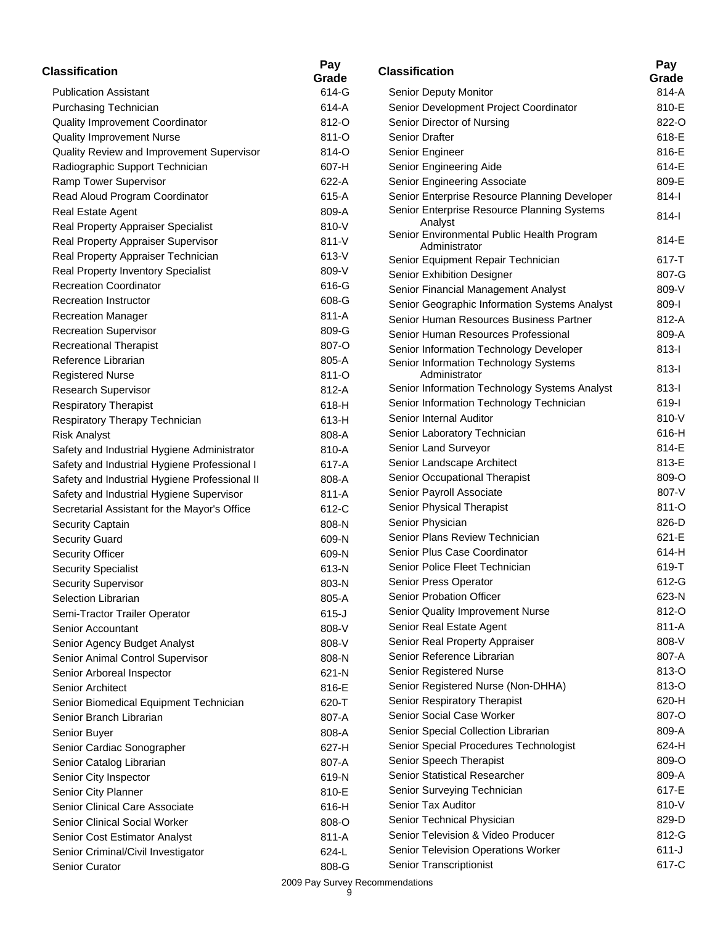| <b>Classification</b>                         | Pay<br>Grade | <b>Classification</b>                                 | Pay<br>Grade |
|-----------------------------------------------|--------------|-------------------------------------------------------|--------------|
| <b>Publication Assistant</b>                  | 614-G        | Senior Deputy Monitor                                 | 814-A        |
| Purchasing Technician                         | 614-A        | Senior Development Project Coordinator                | 810-E        |
| Quality Improvement Coordinator               | 812-O        | Senior Director of Nursing                            | 822-C        |
| <b>Quality Improvement Nurse</b>              | 811-O        | Senior Drafter                                        | 618-E        |
| Quality Review and Improvement Supervisor     | 814-O        | Senior Engineer                                       | 816-E        |
| Radiographic Support Technician               | 607-H        | Senior Engineering Aide                               | 614-E        |
| Ramp Tower Supervisor                         | 622-A        | Senior Engineering Associate                          | 809-E        |
| Read Aloud Program Coordinator                | 615-A        | Senior Enterprise Resource Planning Developer         | $814-I$      |
| Real Estate Agent                             | 809-A        | Senior Enterprise Resource Planning Systems           | $814 -$      |
| Real Property Appraiser Specialist            | 810-V        | Analyst<br>Senior Environmental Public Health Program |              |
| Real Property Appraiser Supervisor            | 811-V        | Administrator                                         | 814-E        |
| Real Property Appraiser Technician            | 613-V        | Senior Equipment Repair Technician                    | $617 - T$    |
| Real Property Inventory Specialist            | 809-V        | Senior Exhibition Designer                            | 807-G        |
| <b>Recreation Coordinator</b>                 | 616-G        | Senior Financial Management Analyst                   | 809-V        |
| <b>Recreation Instructor</b>                  | 608-G        | Senior Geographic Information Systems Analyst         | 809-l        |
| <b>Recreation Manager</b>                     | 811-A        | Senior Human Resources Business Partner               | 812-A        |
| <b>Recreation Supervisor</b>                  | 809-G        | Senior Human Resources Professional                   | 809-A        |
| <b>Recreational Therapist</b>                 | 807-O        | Senior Information Technology Developer               | $813-I$      |
| Reference Librarian                           | 805-A        | Senior Information Technology Systems                 |              |
| <b>Registered Nurse</b>                       | 811-O        | Administrator                                         | $813-I$      |
| Research Supervisor                           | 812-A        | Senior Information Technology Systems Analyst         | $813 -$      |
| <b>Respiratory Therapist</b>                  | 618-H        | Senior Information Technology Technician              | 619-l        |
| Respiratory Therapy Technician                | 613-H        | Senior Internal Auditor                               | 810-V        |
| <b>Risk Analyst</b>                           | 808-A        | Senior Laboratory Technician                          | 616-H        |
| Safety and Industrial Hygiene Administrator   | 810-A        | Senior Land Surveyor                                  | 814-E        |
| Safety and Industrial Hygiene Professional I  | 617-A        | Senior Landscape Architect                            | 813-E        |
| Safety and Industrial Hygiene Professional II | 808-A        | Senior Occupational Therapist                         | 809-C        |
| Safety and Industrial Hygiene Supervisor      | 811-A        | Senior Payroll Associate                              | 807-V        |
| Secretarial Assistant for the Mayor's Office  | 612-C        | Senior Physical Therapist                             | 811-C        |
| Security Captain                              | 808-N        | Senior Physician                                      | 826-D        |
| <b>Security Guard</b>                         | 609-N        | Senior Plans Review Technician                        | 621-E        |
| <b>Security Officer</b>                       | 609-N        | Senior Plus Case Coordinator                          | $614-H$      |
| <b>Security Specialist</b>                    | 613-N        | Senior Police Fleet Technician                        | 619-T        |
| Security Supervisor                           | 803-N        | Senior Press Operator                                 | 612-G        |
| Selection Librarian                           | 805-A        | Senior Probation Officer                              | 623-N        |
| Semi-Tractor Trailer Operator                 | $615-J$      | Senior Quality Improvement Nurse                      | 812-C        |
| Senior Accountant                             | 808-V        | Senior Real Estate Agent                              | 811-A        |
| Senior Agency Budget Analyst                  | 808-V        | Senior Real Property Appraiser                        | 808-V        |
| Senior Animal Control Supervisor              | 808-N        | Senior Reference Librarian                            | 807-A        |
| Senior Arboreal Inspector                     | 621-N        | Senior Registered Nurse                               | 813-C        |
| Senior Architect                              | 816-E        | Senior Registered Nurse (Non-DHHA)                    | 813-C        |
| Senior Biomedical Equipment Technician        | 620-T        | Senior Respiratory Therapist                          | 620-H        |
| Senior Branch Librarian                       | 807-A        | Senior Social Case Worker                             | 807-C        |
| Senior Buyer                                  | 808-A        | Senior Special Collection Librarian                   | 809-A        |
| Senior Cardiac Sonographer                    | 627-H        | Senior Special Procedures Technologist                | 624-H        |
| Senior Catalog Librarian                      | 807-A        | Senior Speech Therapist                               | 809-C        |
| Senior City Inspector                         | 619-N        | Senior Statistical Researcher                         | 809-A        |
| Senior City Planner                           | 810-E        | Senior Surveying Technician                           | 617-E        |
| Senior Clinical Care Associate                | 616-H        | Senior Tax Auditor                                    | 810-V        |
| Senior Clinical Social Worker                 | 808-O        | Senior Technical Physician                            | 829-D        |
| Senior Cost Estimator Analyst                 | 811-A        | Senior Television & Video Producer                    | 812-G        |
| Senior Criminal/Civil Investigator            | 624-L        | Senior Television Operations Worker                   | $611 - J$    |
| Senior Curator                                | 808-G        | Senior Transcriptionist                               | 617-C        |

617-C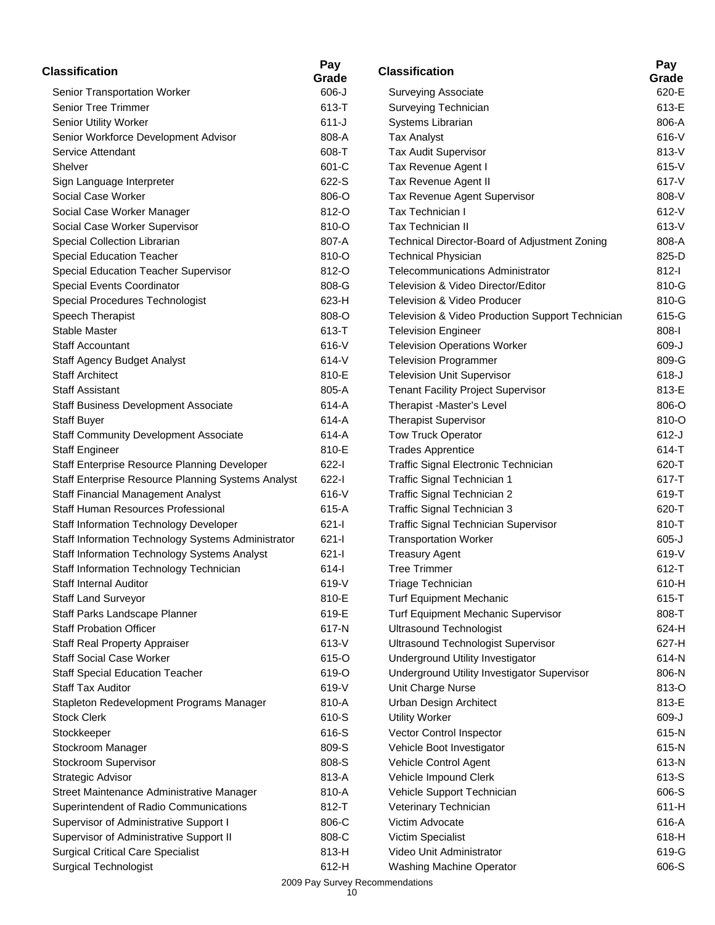| <b>Classification</b>                              | Pay<br>Grade | <b>Classification</b>                            | Pay<br>Grade |
|----------------------------------------------------|--------------|--------------------------------------------------|--------------|
| Senior Transportation Worker                       | $606 - J$    | <b>Surveying Associate</b>                       | 620-E        |
| <b>Senior Tree Trimmer</b>                         | 613-T        | Surveying Technician                             | 613-E        |
| Senior Utility Worker                              | $611-J$      | Systems Librarian                                | 806-A        |
| Senior Workforce Development Advisor               | 808-A        | <b>Tax Analyst</b>                               | 616-V        |
| Service Attendant                                  | 608-T        | Tax Audit Supervisor                             | 813-V        |
| Shelver                                            | 601-C        | Tax Revenue Agent I                              | 615-V        |
| Sign Language Interpreter                          | 622-S        | Tax Revenue Agent II                             | 617-V        |
| Social Case Worker                                 | 806-O        | Tax Revenue Agent Supervisor                     | 808-V        |
| Social Case Worker Manager                         | 812-O        | Tax Technician I                                 | 612-V        |
| Social Case Worker Supervisor                      | 810-O        | Tax Technician II                                | 613-V        |
| Special Collection Librarian                       | 807-A        | Technical Director-Board of Adjustment Zoning    | 808-A        |
| <b>Special Education Teacher</b>                   | 810-O        | <b>Technical Physician</b>                       | 825-D        |
| Special Education Teacher Supervisor               | 812-O        | <b>Telecommunications Administrator</b>          | $812-I$      |
| Special Events Coordinator                         | 808-G        | Television & Video Director/Editor               | 810-G        |
| Special Procedures Technologist                    | 623-H        | Television & Video Producer                      | 810-G        |
| Speech Therapist                                   | 808-O        | Television & Video Production Support Technician | 615-G        |
| <b>Stable Master</b>                               | 613-T        | <b>Television Engineer</b>                       | 808-l        |
| <b>Staff Accountant</b>                            | 616-V        | <b>Television Operations Worker</b>              | 609-J        |
| Staff Agency Budget Analyst                        | 614-V        | <b>Television Programmer</b>                     | 809-G        |
| <b>Staff Architect</b>                             | 810-E        | <b>Television Unit Supervisor</b>                | $618-J$      |
| <b>Staff Assistant</b>                             | 805-A        | <b>Tenant Facility Project Supervisor</b>        | 813-E        |
| Staff Business Development Associate               | 614-A        | Therapist -Master's Level                        | 806-O        |
| <b>Staff Buyer</b>                                 | 614-A        | <b>Therapist Supervisor</b>                      | 810-O        |
| <b>Staff Community Development Associate</b>       | 614-A        | <b>Tow Truck Operator</b>                        | $612-J$      |
| <b>Staff Engineer</b>                              | 810-E        | <b>Trades Apprentice</b>                         | 614-T        |
| Staff Enterprise Resource Planning Developer       | $622 - 1$    | Traffic Signal Electronic Technician             | 620-T        |
| Staff Enterprise Resource Planning Systems Analyst | $622 - 1$    | Traffic Signal Technician 1                      | 617-T        |
| Staff Financial Management Analyst                 | 616-V        | Traffic Signal Technician 2                      | 619-T        |
| Staff Human Resources Professional                 | 615-A        | Traffic Signal Technician 3                      | 620-T        |
| Staff Information Technology Developer             | $621 -$      | <b>Traffic Signal Technician Supervisor</b>      | 810-T        |
| Staff Information Technology Systems Administrator | $621 - 1$    | <b>Transportation Worker</b>                     | $605-J$      |
| Staff Information Technology Systems Analyst       | $621 - 1$    | <b>Treasury Agent</b>                            | 619-V        |
| Staff Information Technology Technician            | $614 -$      | <b>Tree Trimmer</b>                              | 612-T        |
| Staff Internal Auditor                             | 619-V        | Triage Technician                                | 610-H        |
| <b>Staff Land Surveyor</b>                         | 810-E        | <b>Turf Equipment Mechanic</b>                   | 615-T        |
| Staff Parks Landscape Planner                      | 619-E        | Turf Equipment Mechanic Supervisor               | 808-T        |
| <b>Staff Probation Officer</b>                     | 617-N        | <b>Ultrasound Technologist</b>                   | 624-H        |
| <b>Staff Real Property Appraiser</b>               | 613-V        | <b>Ultrasound Technologist Supervisor</b>        | 627-H        |
| <b>Staff Social Case Worker</b>                    | 615-O        | Underground Utility Investigator                 | 614-N        |
| <b>Staff Special Education Teacher</b>             | 619-O        | Underground Utility Investigator Supervisor      | 806-N        |
| <b>Staff Tax Auditor</b>                           | 619-V        | Unit Charge Nurse                                | 813-O        |
| Stapleton Redevelopment Programs Manager           | 810-A        | Urban Design Architect                           | 813-E        |
| <b>Stock Clerk</b>                                 | 610-S        | <b>Utility Worker</b>                            | 609-J        |
| Stockkeeper                                        | 616-S        | Vector Control Inspector                         | 615-N        |
| Stockroom Manager                                  | 809-S        | Vehicle Boot Investigator                        | 615-N        |
| Stockroom Supervisor                               | 808-S        | Vehicle Control Agent                            | 613-N        |
| Strategic Advisor                                  | 813-A        | Vehicle Impound Clerk                            | 613-S        |
| Street Maintenance Administrative Manager          | 810-A        | Vehicle Support Technician                       | 606-S        |
| Superintendent of Radio Communications             | 812-T        | Veterinary Technician                            | 611-H        |
| Supervisor of Administrative Support I             | 806-C        | Victim Advocate                                  | 616-A        |
| Supervisor of Administrative Support II            | 808-C        | Victim Specialist                                | 618-H        |
| <b>Surgical Critical Care Specialist</b>           | 813-H        | Video Unit Administrator                         | 619-G        |
| <b>Surgical Technologist</b>                       | 612-H        | <b>Washing Machine Operator</b>                  | 606-S        |

| Classification                                   | Pay<br>Grade |
|--------------------------------------------------|--------------|
| Surveying Associate                              | 620-E        |
| Surveying Technician                             | 613-E        |
| Systems Librarian                                | 806-A        |
| <b>Tax Analyst</b>                               | 616-V        |
| Tax Audit Supervisor                             | 813-V        |
| Tax Revenue Agent I                              | $615-V$      |
| Tax Revenue Agent II                             | 617-V        |
| Tax Revenue Agent Supervisor                     | 808-V        |
| Tax Technician I                                 | 612-V        |
| <b>Tax Technician II</b>                         | 613-V        |
| Technical Director-Board of Adjustment Zoning    | 808-A        |
| <b>Technical Physician</b>                       | 825-D        |
| Telecommunications Administrator                 | 812-l        |
| Television & Video Director/Editor               | 810-G        |
| Television & Video Producer                      | 810-G        |
| Television & Video Production Support Technician | 615-G        |
| <b>Television Engineer</b>                       | $808 - 1$    |
| <b>Television Operations Worker</b>              | 609-J        |
| <b>Television Programmer</b>                     | 809-G        |
| <b>Television Unit Supervisor</b>                | $618 - J$    |
| <b>Tenant Facility Project Supervisor</b>        | 813-E        |
| Therapist -Master's Level                        | 806-O        |
| <b>Therapist Supervisor</b>                      | 810-O        |
| <b>Tow Truck Operator</b>                        | 612-J        |
| <b>Trades Apprentice</b>                         | 614-T        |
| Traffic Signal Electronic Technician             | 620-T        |
| Traffic Signal Technician 1                      | 617-T        |
| Traffic Signal Technician 2                      | 619-T        |
| Traffic Signal Technician 3                      | 620-T        |
| <b>Traffic Signal Technician Supervisor</b>      | 810-T        |
| <b>Transportation Worker</b>                     | $605 - J$    |
| <b>Treasury Agent</b>                            | 619-V        |
| <b>Tree Trimmer</b>                              | 612-T        |
| Triage Technician                                | 610-H        |
| <b>Turf Equipment Mechanic</b>                   | 615-T        |
| Turf Equipment Mechanic Supervisor               | 808-T        |
| <b>Ultrasound Technologist</b>                   | 624-H        |
| <b>Ultrasound Technologist Supervisor</b>        | 627-H        |
| Underground Utility Investigator                 | 614-N        |
| Underground Utility Investigator Supervisor      | 806-N        |
| Unit Charge Nurse                                | 813-O        |
| Urban Design Architect                           | 813-E        |
| <b>Utility Worker</b>                            | 609-J        |
| Vector Control Inspector                         | 615-N        |
| Vehicle Boot Investigator                        | 615-N        |
| Vehicle Control Agent                            | 613-N        |
| Vehicle Impound Clerk                            | 613-S        |
| Vehicle Support Technician                       | 606-S        |
| Veterinary Technician                            | 611-H        |
| Victim Advocate                                  | 616-A        |
| Victim Specialist                                | 618-H        |
| Video Unit Administrator                         | 619-G        |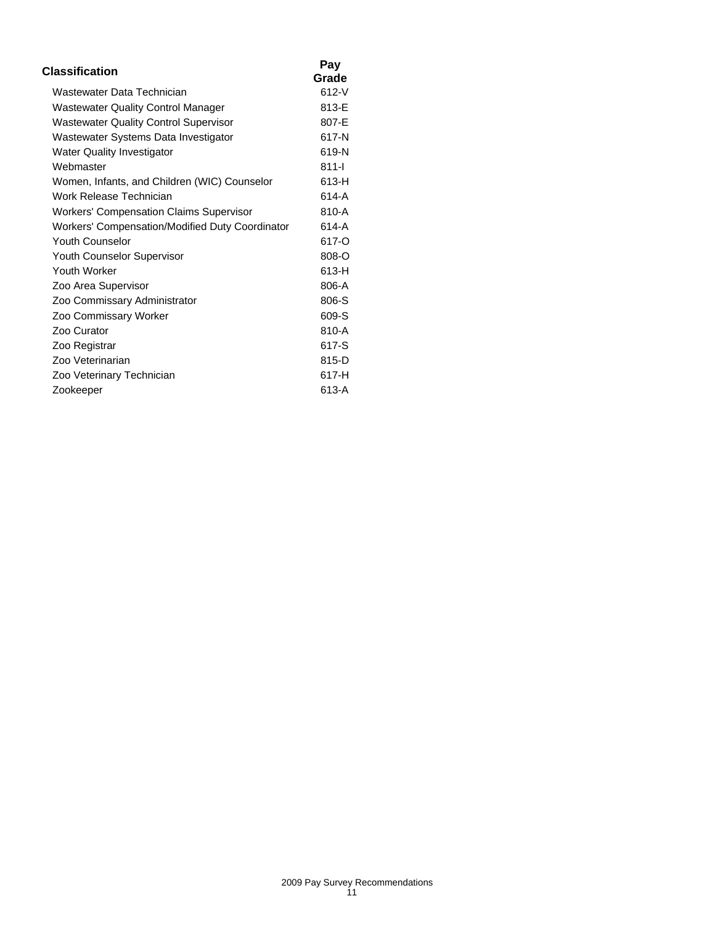| Classification                                  | Pay       |
|-------------------------------------------------|-----------|
|                                                 | Grade     |
| Wastewater Data Technician                      | $612 - V$ |
| <b>Wastewater Quality Control Manager</b>       | 813-E     |
| <b>Wastewater Quality Control Supervisor</b>    | 807-E     |
| Wastewater Systems Data Investigator            | 617-N     |
| Water Quality Investigator                      | 619-N     |
| Webmaster                                       | $811 -$   |
| Women, Infants, and Children (WIC) Counselor    | 613-H     |
| Work Release Technician                         | 614-A     |
| <b>Workers' Compensation Claims Supervisor</b>  | 810-A     |
| Workers' Compensation/Modified Duty Coordinator | 614-A     |
| Youth Counselor                                 | 617-O     |
| <b>Youth Counselor Supervisor</b>               | 808-O     |
| <b>Youth Worker</b>                             | 613-H     |
| Zoo Area Supervisor                             | 806-A     |
| Zoo Commissary Administrator                    | 806-S     |
| Zoo Commissary Worker                           | 609-S     |
| Zoo Curator                                     | 810-A     |
| Zoo Registrar                                   | 617-S     |
| Zoo Veterinarian                                | 815-D     |
| Zoo Veterinary Technician                       | 617-H     |
| Zookeeper                                       | 613-A     |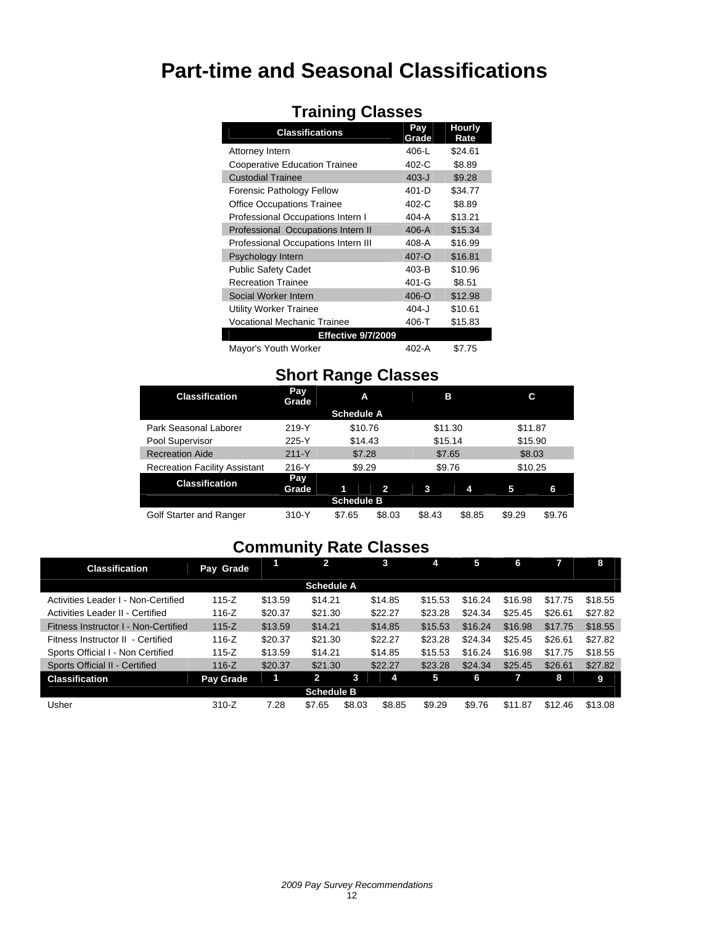# **Part-time and Seasonal Classifications**

| <b>Classifications</b>               | Pav<br>Grade | Hourly<br>Rate |
|--------------------------------------|--------------|----------------|
| Attorney Intern                      | 406-L        | \$24.61        |
| <b>Cooperative Education Trainee</b> | $402-C$      | \$8.89         |
| <b>Custodial Trainee</b>             | $403 - J$    | \$9.28         |
| Forensic Pathology Fellow            | 401-D        | \$34.77        |
| <b>Office Occupations Trainee</b>    | $402-C$      | \$8.89         |
| Professional Occupations Intern I    | 404-A        | \$13.21        |
| Professional Occupations Intern II   | $406-A$      | \$15.34        |
| Professional Occupations Intern III  | 408-A        | \$16.99        |
| Psychology Intern                    | 407-O        | \$16.81        |
| <b>Public Safety Cadet</b>           | $403-B$      | \$10.96        |
| <b>Recreation Trainee</b>            | 401-G        | \$8.51         |
| Social Worker Intern                 | 406-O        | \$12.98        |
| Utility Worker Trainee               | 404-J        | \$10.61        |
| <b>Vocational Mechanic Trainee</b>   | 406-T        | \$15.83        |
| <b>Effective 9/7/2009</b>            |              |                |
| Mayor's Youth Worker                 | 402-A        | \$7.75         |

### **Training Classes**

# **Short Range Classes**

| <b>Classification</b>                | Pay<br>Grade | A                 |        | в       |        | С       |        |
|--------------------------------------|--------------|-------------------|--------|---------|--------|---------|--------|
|                                      |              | <b>Schedule A</b> |        |         |        |         |        |
| Park Seasonal Laborer                | $219-Y$      | \$10.76           |        | \$11.30 |        | \$11.87 |        |
| Pool Supervisor                      | 225-Y        | \$14.43           |        | \$15.14 |        | \$15.90 |        |
| <b>Recreation Aide</b>               | $211 - Y$    | \$7.28            |        | \$7.65  |        | \$8.03  |        |
| <b>Recreation Facility Assistant</b> | 216-Y        | \$9.29            |        | \$9.76  |        | \$10.25 |        |
| <b>Classification</b>                | Pay<br>Grade |                   | 2      | 3       | 4      | 5       | 6      |
|                                      |              | <b>Schedule B</b> |        |         |        |         |        |
| Golf Starter and Ranger              | 310-Y        | \$7.65            | \$8.03 | \$8.43  | \$8.85 | \$9.29  | \$9.76 |

# **Community Rate Classes**

| <b>Classification</b>                | Pay Grade        |         | 2                 |        | 3       | 4       | 5       | 6       |         | 8       |
|--------------------------------------|------------------|---------|-------------------|--------|---------|---------|---------|---------|---------|---------|
|                                      |                  |         | <b>Schedule A</b> |        |         |         |         |         |         |         |
| Activities Leader I - Non-Certified  | $115 - Z$        | \$13.59 | \$14.21           |        | \$14.85 | \$15.53 | \$16.24 | \$16.98 | \$17.75 | \$18.55 |
| Activities Leader II - Certified     | $116 - Z$        | \$20.37 | \$21.30           |        | \$22.27 | \$23.28 | \$24.34 | \$25.45 | \$26.61 | \$27.82 |
| Fitness Instructor I - Non-Certified | $115 - Z$        | \$13.59 | \$14.21           |        | \$14.85 | \$15.53 | \$16.24 | \$16.98 | \$17.75 | \$18.55 |
| Fitness Instructor II - Certified    | $116 - Z$        | \$20.37 | \$21.30           |        | \$22.27 | \$23.28 | \$24.34 | \$25.45 | \$26.61 | \$27.82 |
| Sports Official I - Non Certified    | $115 - Z$        | \$13.59 | \$14.21           |        | \$14.85 | \$15.53 | \$16.24 | \$16.98 | \$17.75 | \$18.55 |
| Sports Official II - Certified       | $116 - Z$        | \$20.37 | \$21.30           |        | \$22.27 | \$23.28 | \$24.34 | \$25.45 | \$26.61 | \$27.82 |
| <b>Classification</b>                | <b>Pay Grade</b> | 1       | $\mathbf{2}$      | 3      | 4       | 5       | 6       |         | 8       | 9       |
|                                      |                  |         | <b>Schedule B</b> |        |         |         |         |         |         |         |
| Usher                                | $310-Z$          | 7.28    | \$7.65            | \$8.03 | \$8.85  | \$9.29  | \$9.76  | \$11.87 | \$12.46 | \$13.08 |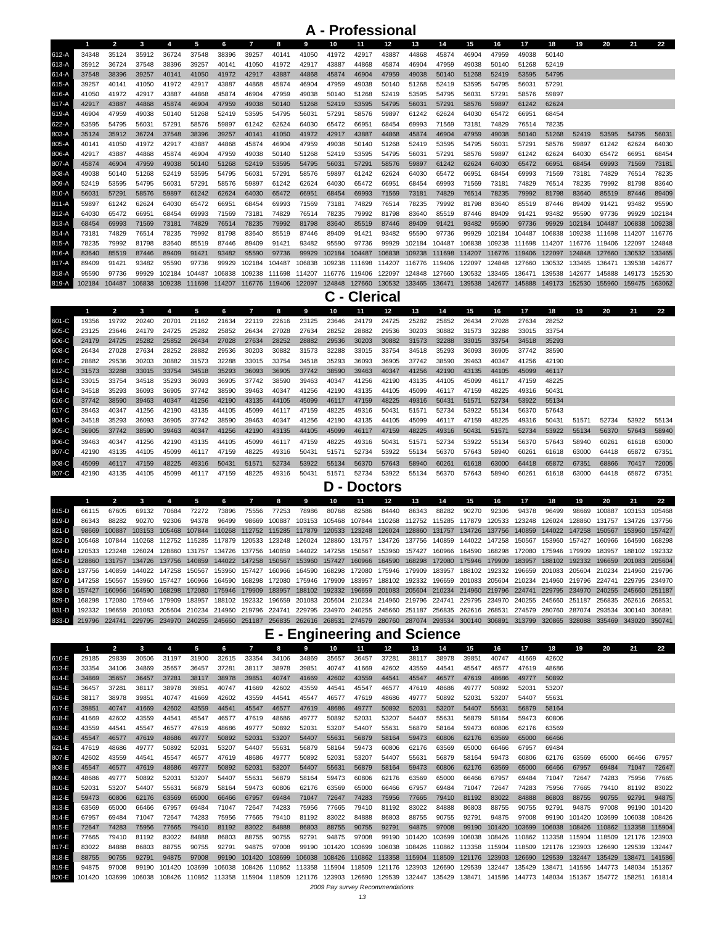### **A - Professional**

|         |        | $\overline{2}$ | 3      | 4      | 5      | 6                    | $\overline{7}$       | 8      | 9      | 10     | 11                   | $12 \overline{ }$                                | 13     | 14                   | 15     | 16                                 | 17     | 18                                 | 19     | 20     | 21            | 22     |
|---------|--------|----------------|--------|--------|--------|----------------------|----------------------|--------|--------|--------|----------------------|--------------------------------------------------|--------|----------------------|--------|------------------------------------|--------|------------------------------------|--------|--------|---------------|--------|
| 612-A   | 34348  | 35124          | 35912  | 36724  | 37548  | 38396                | 39257                | 40141  | 41050  | 41972  | 42917                | 43887                                            | 44868  | 45874                | 46904  | 47959                              | 49038  | 50140                              |        |        |               |        |
| 613-A   | 35912  | 36724          | 37548  | 38396  | 39257  | 40141                | 41050                | 41972  | 42917  | 43887  | 44868                | 45874                                            | 46904  | 47959                | 49038  | 50140                              | 51268  | 52419                              |        |        |               |        |
| 614-A   | 37548  | 38396          | 39257  | 40141  | 41050  | 41972                | 42917                | 43887  | 44868  | 45874  | 46904                | 47959                                            | 49038  | 50140                | 51268  | 52419                              | 53595  | 54795                              |        |        |               |        |
| 615-A   | 39257  | 40141          | 41050  | 41972  | 42917  | 43887                | 44868                | 45874  | 46904  | 47959  | 49038                | 50140                                            | 51268  | 52419                | 53595  | 54795                              | 56031  | 57291                              |        |        |               |        |
| 616-A   | 41050  | 41972          | 42917  | 43887  | 44868  | 45874                | 46904                | 47959  | 49038  | 50140  | 51268                | 52419                                            | 53595  | 54795                | 56031  | 57291                              | 58576  | 59897                              |        |        |               |        |
| 617-A   | 42917  | 43887          | 44868  | 45874  | 46904  | 47959                | 49038                | 50140  | 51268  | 52419  | 53595                | 54795                                            | 56031  | 57291                | 58576  | 59897                              | 61242  | 62624                              |        |        |               |        |
| 619-A   | 46904  | 47959          | 49038  | 50140  | 51268  | 52419                | 53595                | 54795  | 56031  | 57291  | 58576                | 59897                                            | 61242  | 62624                | 64030  | 65472                              | 66951  | 68454                              |        |        |               |        |
| 622-A   | 53595  | 54795          | 56031  | 57291  | 58576  | 59897                | 61242                | 62624  | 64030  | 65472  | 66951                | 68454                                            | 69993  | 71569                | 73181  | 74829                              | 76514  | 78235                              |        |        |               |        |
| 803-A   | 35124  | 35912          | 36724  | 37548  | 38396  | 39257                | 40141                | 41050  | 41972  | 42917  | 43887                | 44868                                            | 45874  | 46904                | 47959  | 49038                              | 50140  | 51268                              | 52419  | 53595  | 54795         | 56031  |
| 805-A   | 40141  | 41050          | 41972  | 42917  | 43887  | 44868                | 45874                | 46904  | 47959  | 49038  | 50140                | 51268                                            | 52419  | 53595                | 54795  | 56031                              | 57291  | 58576                              | 59897  | 61242  | 62624         | 64030  |
| 806-A   | 42917  | 43887          | 44868  | 45874  | 46904  | 47959                | 49038                | 50140  | 51268  | 52419  | 53595                | 54795                                            | 56031  | 57291                | 58576  | 59897                              | 61242  | 62624                              | 64030  | 65472  | 66951         | 68454  |
| 807-A   | 45874  | 46904          | 47959  | 49038  | 50140  | 51268                | 52419                | 53595  | 54795  | 56031  | 57291                | 58576                                            | 59897  | 61242                | 62624  | 64030                              | 65472  | 66951                              | 68454  | 69993  | 71569         | 73181  |
| 808-A   | 49038  | 50140          | 51268  | 52419  | 53595  | 54795                | 56031                | 57291  | 58576  | 59897  | 61242                | 62624                                            | 64030  | 65472                | 66951  | 68454                              | 69993  | 71569                              | 73181  | 74829  | 76514         | 78235  |
| 809-A   | 52419  | 53595          | 54795  | 56031  | 57291  | 58576                | 59897                | 61242  | 62624  | 64030  | 65472                | 66951                                            | 68454  | 69993                | 71569  | 73181                              | 74829  | 76514                              | 78235  | 79992  | 81798         | 83640  |
| 810-A   | 56031  | 57291          | 58576  | 59897  | 61242  | 62624                | 64030                | 65472  | 66951  | 68454  | 69993                | 71569                                            | 73181  | 74829                | 76514  | 78235                              | 79992  | 81798                              | 83640  | 85519  | 87446         | 89409  |
| $811-A$ | 59897  | 61242          | 62624  | 64030  | 65472  | 66951                | 68454                | 69993  | 71569  | 73181  | 74829                | 76514                                            | 78235  | 79992                | 81798  | 83640                              | 85519  | 87446                              | 89409  | 91421  | 93482         | 95590  |
| 812-A   | 64030  | 65472          | 66951  | 68454  | 69993  | 71569                | 73181                | 74829  | 76514  | 78235  | 79992                | 81798                                            | 83640  | 85519                | 87446  | 89409                              | 91421  | 93482                              | 95590  | 97736  | 99929         | 102184 |
| 813-A   | 68454  | 69993          | 71569  | 73181  | 74829  | 76514                | 78235                | 79992  | 81798  | 83640  | 85519                | 87446                                            | 89409  | 91421                | 93482  | 95590                              | 97736  | 99929                              | 102184 | 104487 | 106838        | 109238 |
| 814-A   | 73181  | 74829          | 76514  | 78235  | 79992  | 81798                | 83640                | 85519  | 87446  | 89409  | 91421                | 93482                                            | 95590  | 97736                | 99929  | 102184                             | 104487 | 106838                             | 109238 | 111698 | 114207 116776 |        |
| 815-A   | 78235  | 79992          | 81798  | 83640  | 85519  | 87446                | 89409                | 91421  | 93482  | 95590  | 97736                | 99929                                            | 102184 | 104487               | 106838 |                                    |        | 109238 111698 114207 116776 119406 |        |        | 122097        | 124848 |
| 816-A   | 83640  | 85519          | 87446  | 89409  | 91421  | 93482                | 95590                | 97736  | 99929  | 102184 | 104487               | 106838                                           | 109238 | 111698 114207        |        | 116776 119406                      |        | 122097                             | 124848 | 127660 | 130532        | 133465 |
| 817-A   | 89409  | 91421          | 93482  | 95590  | 97736  | 99929                | 102184               | 104487 | 106838 | 109238 | 111698 114207        |                                                  |        | 116776 119406 122097 |        | 124848                             | 127660 | 130532                             | 133465 | 136471 | 139538 142677 |        |
| 818-A   | 95590  | 97736          | 99929  | 102184 | 104487 | 106838               | 109238 111698 114207 |        |        |        | 116776 119406 122097 |                                                  |        |                      |        | 124848 127660 130532 133465 136471 |        | 139538                             | 142677 | 145888 | 149173 152530 |        |
| 819-A   | 102184 | 104487         | 106838 | 109238 | 111698 | 114207 116776 119406 |                      |        | 122097 |        |                      | 124848 127660 130532 133465 136471 139538 142677 |        |                      |        |                                    | 145888 | 149173                             | 152530 | 155960 | 159475        | 163062 |

#### **C - Clerical**

|       |       |       |       |       | 5     |       |       | 8     | 9     | 10    | 11    | 12    | 13    | 14    | 15    | 16    | 17    | 18    | 19    | 20    | 21    | 22    |
|-------|-------|-------|-------|-------|-------|-------|-------|-------|-------|-------|-------|-------|-------|-------|-------|-------|-------|-------|-------|-------|-------|-------|
| 601-C | 19356 | 19792 | 20240 | 20701 | 21162 | 21634 | 22119 | 22616 | 23125 | 23646 | 24179 | 24725 | 25282 | 25852 | 26434 | 27028 | 27634 | 28252 |       |       |       |       |
| 605-C | 23125 | 23646 | 24179 | 24725 | 25282 | 25852 | 26434 | 27028 | 27634 | 28252 | 28882 | 29536 | 30203 | 30882 | 31573 | 32288 | 33015 | 33754 |       |       |       |       |
| 606-C | 24179 | 24725 | 25282 | 25852 | 26434 | 27028 | 27634 | 28252 | 28882 | 29536 | 30203 | 30882 | 31573 | 32288 | 33015 | 33754 | 34518 | 35293 |       |       |       |       |
| 608-C | 26434 | 27028 | 27634 | 28252 | 28882 | 29536 | 30203 | 30882 | 31573 | 32288 | 33015 | 33754 | 34518 | 35293 | 36093 | 36905 | 37742 | 38590 |       |       |       |       |
| 610-C | 28882 | 29536 | 30203 | 30882 | 31573 | 32288 | 33015 | 33754 | 34518 | 35293 | 36093 | 36905 | 37742 | 38590 | 39463 | 40347 | 41256 | 42190 |       |       |       |       |
| 612-C | 31573 | 32288 | 33015 | 33754 | 34518 | 35293 | 36093 | 36905 | 37742 | 38590 | 39463 | 40347 | 41256 | 42190 | 43135 | 44105 | 45099 | 46117 |       |       |       |       |
| 613-C | 33015 | 33754 | 34518 | 35293 | 36093 | 36905 | 37742 | 38590 | 39463 | 40347 | 41256 | 42190 | 43135 | 44105 | 45099 | 46117 | 47159 | 48225 |       |       |       |       |
| 614-C | 34518 | 35293 | 36093 | 36905 | 37742 | 38590 | 39463 | 40347 | 41256 | 42190 | 43135 | 44105 | 45099 | 46117 | 47159 | 48225 | 49316 | 50431 |       |       |       |       |
| 616-C | 37742 | 38590 | 39463 | 40347 | 41256 | 42190 | 43135 | 44105 | 45099 | 46117 | 47159 | 48225 | 49316 | 50431 | 51571 | 52734 | 53922 | 55134 |       |       |       |       |
| 617-C | 39463 | 40347 | 41256 | 42190 | 43135 | 44105 | 45099 | 46117 | 47159 | 48225 | 49316 | 50431 | 51571 | 52734 | 53922 | 55134 | 56370 | 57643 |       |       |       |       |
| 804-C | 34518 | 35293 | 36093 | 36905 | 37742 | 38590 | 39463 | 40347 | 41256 | 42190 | 43135 | 44105 | 45099 | 46117 | 47159 | 48225 | 49316 | 50431 | 51571 | 52734 | 53922 | 55134 |
| 805-C | 36905 | 37742 | 38590 | 39463 | 40347 | 41256 | 42190 | 43135 | 44105 | 45099 | 46117 | 47159 | 48225 | 49316 | 50431 | 51571 | 52734 | 53922 | 55134 | 56370 | 57643 | 58940 |
| 806-C | 39463 | 40347 | 41256 | 42190 | 43135 | 44105 | 45099 | 46117 | 47159 | 48225 | 49316 | 50431 | 51571 | 52734 | 53922 | 55134 | 56370 | 57643 | 58940 | 60261 | 61618 | 63000 |
| 807-C | 42190 | 43135 | 44105 | 45099 | 46117 | 47159 | 48225 | 49316 | 50431 | 51571 | 52734 | 53922 | 55134 | 56370 | 57643 | 58940 | 60261 | 61618 | 63000 | 64418 | 65872 | 67351 |
| 808-C | 45099 | 46117 | 47159 | 48225 | 49316 | 50431 | 51571 | 52734 | 53922 | 55134 | 56370 | 57643 | 58940 | 60261 | 61618 | 63000 | 64418 | 65872 | 67351 | 68866 | 70417 | 72005 |
| 807-C | 42190 | 43135 | 44105 | 45099 | 46117 | 47159 | 48225 | 49316 | 50431 | 51571 | 52734 | 53922 | 55134 | 56370 | 57643 | 58940 | 60261 | 61618 | 63000 | 64418 | 65872 | 67351 |

**D - Doctors**

|         |                     |        |               |                                                                                                                                                    |        |       |       | 8      | 9     | 10    | 11    | 12    | 13    | 14    | 15                                                                                                       | 16    | 17     | 18            | 19    | 20                                                                                                                            | 21                   | 22 |
|---------|---------------------|--------|---------------|----------------------------------------------------------------------------------------------------------------------------------------------------|--------|-------|-------|--------|-------|-------|-------|-------|-------|-------|----------------------------------------------------------------------------------------------------------|-------|--------|---------------|-------|-------------------------------------------------------------------------------------------------------------------------------|----------------------|----|
| 815-D   | 66115               | 67605  | 69132         | 70684                                                                                                                                              | 72272  | 73896 | 75556 | 77253  | 78986 | 80768 | 82586 | 84440 | 86343 | 88282 | 90270                                                                                                    | 92306 | 94378  | 96499         | 98669 | 100887                                                                                                                        | 103153 105468        |    |
| 819-D   | 86343               | 88282  | 90270         | 92306                                                                                                                                              | 94378  | 96499 | 98669 | 100887 |       |       |       |       |       |       | 103153 105468 107844 110268 112752 115285 117879 120533 123248 126024 128860 131757                      |       |        |               |       |                                                                                                                               | 134726 137756        |    |
| 821-D I | 98669               | 100887 |               | 103153 105468 107844                                                                                                                               |        |       |       |        |       |       |       |       |       |       | 110268 112752 115285 117879 120533 123248 126024 128860 131757 134726 137756 140859 144022 147258 150567 |       |        |               |       |                                                                                                                               | 153960 157427        |    |
|         | 822-D 105468        |        | 107844 110268 | 112752                                                                                                                                             |        |       |       |        |       |       |       |       |       |       | 115285 117879 120533 123248 126024 128860 131757 134726 137756 140859 144022 147258                      |       | 150567 | 153960 157427 |       |                                                                                                                               | 160966 164590 168298 |    |
|         | 824-D 120533        | 123248 | 126024        | 128860                                                                                                                                             |        |       |       |        |       |       |       |       |       |       | 131757 134726 137756 140859 144022 147258 150567 153960 157427 160966 164590 168298 172080 175946 179909 |       |        |               |       | 183957                                                                                                                        | 188102 192332        |    |
| $825-D$ | 128860              |        |               | 131757 134726 137756 140859 144022 147258 150567 153960 157427 160966 164590 168298 172080 175946 179909 183957 188102 192332 196659               |        |       |       |        |       |       |       |       |       |       |                                                                                                          |       |        |               |       |                                                                                                                               | 201083 205604        |    |
| $826-D$ |                     | 140859 |               | 144022 147258                                                                                                                                      | 150567 |       |       |        |       |       |       |       |       |       |                                                                                                          |       |        |               |       | 153960 157427 160966 164590 168298 172080 175946 179909 183957 188102 192332 196659 201083 205604 210234 214960 219796        |                      |    |
| 827-D   |                     | 150567 |               | 153960 157427                                                                                                                                      |        |       |       |        |       |       |       |       |       |       |                                                                                                          |       |        |               |       | 160966 164590 168298 172080 175946 179909 183957 188102 192332 196659 201083 205604 210234 214960 219796 224741 229795 234970 |                      |    |
| $828-D$ | 157427              |        |               | 160966 164590 168298 172080 175946 179909 183957 188102 192332 196659 201083 205604 210234 214960 219796 224741 229795 234970 240255 245660 251187 |        |       |       |        |       |       |       |       |       |       |                                                                                                          |       |        |               |       |                                                                                                                               |                      |    |
|         | 829-D 168298        | 172080 |               | 175946 179909                                                                                                                                      | 183957 |       |       |        |       |       |       |       |       |       |                                                                                                          |       |        |               |       | 188102 192332 196659 201083 205604 210234 214960 219796 224741 229795 234970 240255 245660 251187 256835 262616 268531        |                      |    |
|         | 831-D 192332        | 196659 |               | 201083 205604 210234 214960 219796 224741 229795 234970 240255 245660 251187 256835 262616 268531 274579 280760 287074 293534 300140 306891        |        |       |       |        |       |       |       |       |       |       |                                                                                                          |       |        |               |       |                                                                                                                               |                      |    |
|         | 883-D 219796 224741 |        |               | 229795 234970 240255 245660 251187 256835 262616 268531 274579 280760 287074 293534 300140 306891 313799 320865 328088 335469 343020 350741        |        |       |       |        |       |       |       |       |       |       |                                                                                                          |       |        |               |       |                                                                                                                               |                      |    |

#### **E - Engineering and Science**

|       |        | $\overline{2}$ | 3      | 4      | 5      | 6      | $\overline{7}$ | 8      | 9      | 10     | 11                              | $12 \overline{ }$ | 13     | 14     | 15                   | 16     | 17                   | 18     | 19            | 20     | 21     | 22     |
|-------|--------|----------------|--------|--------|--------|--------|----------------|--------|--------|--------|---------------------------------|-------------------|--------|--------|----------------------|--------|----------------------|--------|---------------|--------|--------|--------|
| 610-E | 29185  | 29839          | 30506  | 31197  | 31900  | 32615  | 33354          | 34106  | 34869  | 35657  | 36457                           | 37281             | 38117  | 38978  | 39851                | 40747  | 41669                | 42602  |               |        |        |        |
| 613-E | 33354  | 34106          | 34869  | 35657  | 36457  | 37281  | 38117          | 38978  | 39851  | 40747  | 41669                           | 42602             | 43559  | 44541  | 45547                | 46577  | 47619                | 48686  |               |        |        |        |
| 614-E | 34869  | 35657          | 36457  | 37281  | 38117  | 38978  | 39851          | 40747  | 41669  | 42602  | 43559                           | 44541             | 45547  | 46577  | 47619                | 48686  | 49777                | 50892  |               |        |        |        |
| 615-E | 36457  | 37281          | 38117  | 38978  | 39851  | 40747  | 41669          | 42602  | 43559  | 44541  | 45547                           | 46577             | 47619  | 48686  | 49777                | 50892  | 52031                | 53207  |               |        |        |        |
| 616-E | 38117  | 38978          | 39851  | 40747  | 41669  | 42602  | 43559          | 44541  | 45547  | 46577  | 47619                           | 48686             | 49777  | 50892  | 52031                | 53207  | 54407                | 55631  |               |        |        |        |
| 617-E | 39851  | 40747          | 41669  | 42602  | 43559  | 44541  | 45547          | 46577  | 47619  | 48686  | 49777                           | 50892             | 52031  | 53207  | 54407                | 55631  | 56879                | 58164  |               |        |        |        |
| 618-E | 41669  | 42602          | 43559  | 44541  | 45547  | 46577  | 47619          | 48686  | 49777  | 50892  | 52031                           | 53207             | 54407  | 55631  | 56879                | 58164  | 59473                | 60806  |               |        |        |        |
| 619-E | 43559  | 44541          | 45547  | 46577  | 47619  | 48686  | 49777          | 50892  | 52031  | 53207  | 54407                           | 55631             | 56879  | 58164  | 59473                | 60806  | 62176                | 63569  |               |        |        |        |
| 620-E | 45547  | 46577          | 47619  | 48686  | 49777  | 50892  | 52031          | 53207  | 54407  | 55631  | 56879                           | 58164             | 59473  | 60806  | 62176                | 63569  | 65000                | 66466  |               |        |        |        |
| 621-E | 47619  | 48686          | 49777  | 50892  | 52031  | 53207  | 54407          | 55631  | 56879  | 58164  | 59473                           | 60806             | 62176  | 63569  | 65000                | 66466  | 67957                | 69484  |               |        |        |        |
| 807-E | 42602  | 43559          | 44541  | 45547  | 46577  | 47619  | 48686          | 49777  | 50892  | 52031  | 53207                           | 54407             | 55631  | 56879  | 58164                | 59473  | 60806                | 62176  | 63569         | 65000  | 66466  | 67957  |
| 808-E | 45547  | 46577          | 47619  | 48686  | 49777  | 50892  | 52031          | 53207  | 54407  | 55631  | 56879                           | 58164             | 59473  | 60806  | 62176                | 63569  | 65000                | 66466  | 67957         | 69484  | 71047  | 72647  |
| 809-E | 48686  | 49777          | 50892  | 52031  | 53207  | 54407  | 55631          | 56879  | 58164  | 59473  | 60806                           | 62176             | 63569  | 65000  | 66466                | 67957  | 69484                | 71047  | 72647         | 74283  | 75956  | 77665  |
| 810-E | 52031  | 53207          | 54407  | 55631  | 56879  | 58164  | 59473          | 60806  | 62176  | 63569  | 65000                           | 66466             | 67957  | 69484  | 71047                | 72647  | 74283                | 75956  | 77665         | 79410  | 81192  | 83022  |
| 812-E | 59473  | 60806          | 62176  | 63569  | 65000  | 66466  | 67957          | 69484  | 71047  | 72647  | 74283                           | 75956             | 77665  | 79410  | 81192                | 83022  | 84888                | 86803  | 88755         | 90755  | 92791  | 94875  |
| 813-E | 63569  | 65000          | 66466  | 67957  | 69484  | 71047  | 72647          | 74283  | 75956  | 77665  | 79410                           | 81192             | 83022  | 84888  | 86803                | 88755  | 90755                | 92791  | 94875         | 97008  | 99190  | 101420 |
| 814-E | 67957  | 69484          | 71047  | 72647  | 74283  | 75956  | 77665          | 79410  | 81192  | 83022  | 84888                           | 86803             | 88755  | 90755  | 92791                | 94875  | 97008                | 99190  | 101420        | 103699 | 106038 | 108426 |
| 815-E | 72647  | 74283          | 75956  | 77665  | 79410  | 81192  | 83022          | 84888  | 86803  | 88755  | 90755                           | 92791             | 94875  | 97008  | 99190                | 101420 | 103699               | 106038 | 108426        | 110862 | 113358 | 115904 |
| 816-E | 77665  | 79410          | 81192  | 83022  | 84888  | 86803  | 88755          | 90755  | 92791  | 94875  | 97008                           | 99190             | 101420 | 103699 | 106038               | 108426 | 110862               | 113358 | 115904 118509 |        | 121176 | 123903 |
| 817-E | 83022  | 84888          | 86803  | 88755  | 90755  | 92791  | 94875          | 97008  | 99190  | 101420 | 103699                          | 106038            | 108426 |        | 110862 113358 115904 |        | 118509               | 121176 | 123903        | 126690 | 129539 | 132447 |
| 818-E | 88755  | 90755          | 92791  | 94875  | 97008  | 99190  | 101420         | 103699 | 106038 | 108426 | 110862                          | 113358            | 115904 | 118509 | 121176               | 123903 | 126690               | 129539 | 132447        | 135429 | 138471 | 141586 |
| 819-E | 94875  | 97008          | 99190  | 101420 | 103699 | 106038 | 108426         | 110862 | 113358 | 115904 | 118509                          | 121176            | 123903 | 126690 | 129539               | 132447 | 135429               | 138471 | 141586        | 144773 | 148034 | 151367 |
| 820-E | 101420 | 103699         | 106038 | 108426 | 110862 | 113358 | 115904 118509  |        | 121176 |        | 123903 126690 129539 132447     |                   |        | 135429 | 138471 141586        |        | 144773 148034 151367 |        |               | 154772 | 158251 | 161814 |
|       |        |                |        |        |        |        |                |        |        |        | 2009 Pay survey Recommendations |                   |        |        |                      |        |                      |        |               |        |        |        |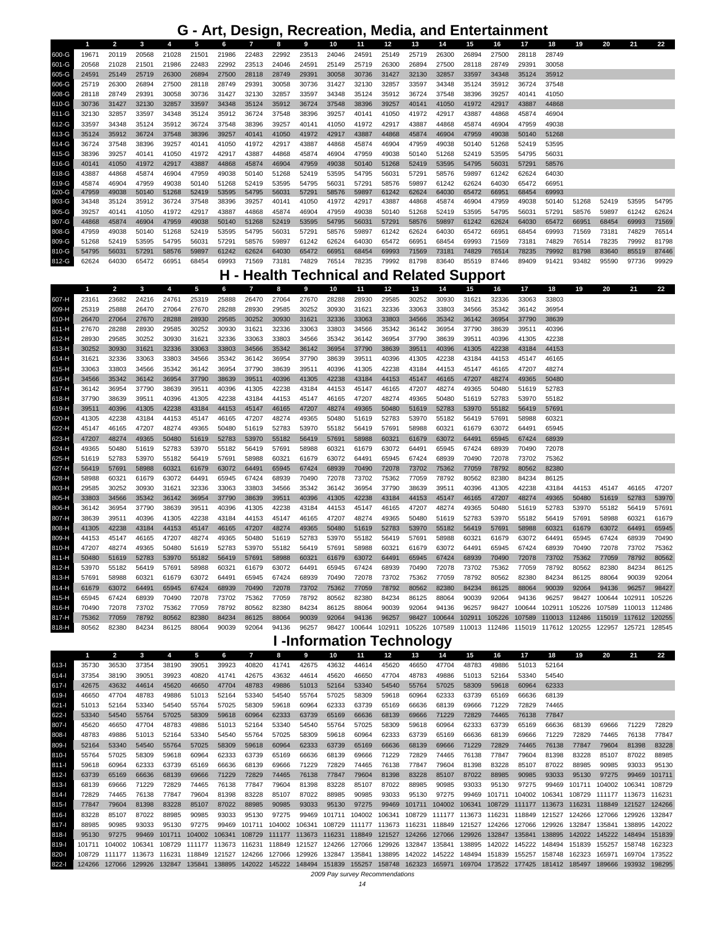### **G - Art, Design, Recreation, Media, and Entertainment**

|       |       | 2     | 3     | 4     | 5     | 6     |       | 8     | 9     | 10    | 11    | $12 \overline{ }$ | 13    | 14    | 15    | 16    | 17    | 18    | 19    | 20    | 21    | 22    |
|-------|-------|-------|-------|-------|-------|-------|-------|-------|-------|-------|-------|-------------------|-------|-------|-------|-------|-------|-------|-------|-------|-------|-------|
| 600-G | 19671 | 20119 | 20568 | 21028 | 21501 | 21986 | 22483 | 22992 | 23513 | 24046 | 24591 | 25149             | 25719 | 26300 | 26894 | 27500 | 28118 | 28749 |       |       |       |       |
| 601-G | 20568 | 21028 | 21501 | 21986 | 22483 | 22992 | 23513 | 24046 | 24591 | 25149 | 25719 | 26300             | 26894 | 27500 | 28118 | 28749 | 29391 | 30058 |       |       |       |       |
| 605-G | 24591 | 25149 | 25719 | 26300 | 26894 | 27500 | 28118 | 28749 | 29391 | 30058 | 30736 | 31427             | 32130 | 32857 | 33597 | 34348 | 35124 | 35912 |       |       |       |       |
| 606-G | 25719 | 26300 | 26894 | 27500 | 28118 | 28749 | 29391 | 30058 | 30736 | 31427 | 32130 | 32857             | 33597 | 34348 | 35124 | 35912 | 36724 | 37548 |       |       |       |       |
| 608-G | 28118 | 28749 | 29391 | 30058 | 30736 | 31427 | 32130 | 32857 | 33597 | 34348 | 35124 | 35912             | 36724 | 37548 | 38396 | 39257 | 40141 | 41050 |       |       |       |       |
| 610-G | 30736 | 31427 | 32130 | 32857 | 33597 | 34348 | 35124 | 35912 | 36724 | 37548 | 38396 | 39257             | 40141 | 41050 | 41972 | 42917 | 43887 | 44868 |       |       |       |       |
| 611-G | 32130 | 32857 | 33597 | 34348 | 35124 | 35912 | 36724 | 37548 | 38396 | 39257 | 40141 | 41050             | 41972 | 42917 | 43887 | 44868 | 45874 | 46904 |       |       |       |       |
| 612-G | 33597 | 34348 | 35124 | 35912 | 36724 | 37548 | 38396 | 39257 | 40141 | 41050 | 41972 | 42917             | 43887 | 44868 | 45874 | 46904 | 47959 | 49038 |       |       |       |       |
| 613-G | 35124 | 35912 | 36724 | 37548 | 38396 | 39257 | 40141 | 41050 | 41972 | 42917 | 43887 | 44868             | 45874 | 46904 | 47959 | 49038 | 50140 | 51268 |       |       |       |       |
| 614-G | 36724 | 37548 | 38396 | 39257 | 40141 | 41050 | 41972 | 42917 | 43887 | 44868 | 45874 | 46904             | 47959 | 49038 | 50140 | 51268 | 52419 | 53595 |       |       |       |       |
| 615-G | 38396 | 39257 | 40141 | 41050 | 41972 | 42917 | 43887 | 44868 | 45874 | 46904 | 47959 | 49038             | 50140 | 51268 | 52419 | 53595 | 54795 | 56031 |       |       |       |       |
| 616-G | 40141 | 41050 | 41972 | 42917 | 43887 | 44868 | 45874 | 46904 | 47959 | 49038 | 50140 | 51268             | 52419 | 53595 | 54795 | 56031 | 57291 | 58576 |       |       |       |       |
| 618-G | 43887 | 44868 | 45874 | 46904 | 47959 | 49038 | 50140 | 51268 | 52419 | 53595 | 54795 | 56031             | 57291 | 58576 | 59897 | 61242 | 62624 | 64030 |       |       |       |       |
| 619-G | 45874 | 46904 | 47959 | 49038 | 50140 | 51268 | 52419 | 53595 | 54795 | 56031 | 57291 | 58576             | 59897 | 61242 | 62624 | 64030 | 65472 | 66951 |       |       |       |       |
| 620-G | 47959 | 49038 | 50140 | 51268 | 52419 | 53595 | 54795 | 56031 | 57291 | 58576 | 59897 | 61242             | 62624 | 64030 | 65472 | 66951 | 68454 | 69993 |       |       |       |       |
| 803-G | 34348 | 35124 | 35912 | 36724 | 37548 | 38396 | 39257 | 40141 | 41050 | 41972 | 42917 | 43887             | 44868 | 45874 | 46904 | 47959 | 49038 | 50140 | 51268 | 52419 | 53595 | 54795 |
| 805-G | 39257 | 40141 | 41050 | 41972 | 42917 | 43887 | 44868 | 45874 | 46904 | 47959 | 49038 | 50140             | 51268 | 52419 | 53595 | 54795 | 56031 | 57291 | 58576 | 59897 | 61242 | 62624 |
| 807-G | 44868 | 45874 | 46904 | 47959 | 49038 | 50140 | 51268 | 52419 | 53595 | 54795 | 56031 | 57291             | 58576 | 59897 | 61242 | 62624 | 64030 | 65472 | 66951 | 68454 | 69993 | 71569 |
| 808-G | 47959 | 49038 | 50140 | 51268 | 52419 | 53595 | 54795 | 56031 | 57291 | 58576 | 59897 | 61242             | 62624 | 64030 | 65472 | 66951 | 68454 | 69993 | 71569 | 73181 | 74829 | 76514 |
| 809-G | 51268 | 52419 | 53595 | 54795 | 56031 | 57291 | 58576 | 59897 | 61242 | 62624 | 64030 | 65472             | 66951 | 68454 | 69993 | 71569 | 73181 | 74829 | 76514 | 78235 | 79992 | 81798 |
| 810-G | 54795 | 56031 | 57291 | 58576 | 59897 | 61242 | 62624 | 64030 | 65472 | 66951 | 68454 | 69993             | 71569 | 73181 | 74829 | 76514 | 78235 | 79992 | 81798 | 83640 | 85519 | 87446 |
| 812-G | 62624 | 64030 | 65472 | 66951 | 68454 | 69993 | 71569 | 73181 | 74829 | 76514 | 78235 | 79992             | 81798 | 83640 | 85519 | 87446 | 89409 | 91421 | 93482 | 95590 | 97736 | 99929 |

### **H - Health Technical and Related Support**

|       | 1     | $\overline{2}$ | $\mathbf{3}$ | 4     | 5     | 6     | $\overline{7}$ | 8     | 9     | 10    | 11                  | 12    | 13    | 14     | 15     | 16     | 17     | 18     | 19                                                             | 20     | 21     | 22     |
|-------|-------|----------------|--------------|-------|-------|-------|----------------|-------|-------|-------|---------------------|-------|-------|--------|--------|--------|--------|--------|----------------------------------------------------------------|--------|--------|--------|
| 607-H | 23161 | 23682          | 24216        | 24761 | 25319 | 25888 | 26470          | 27064 | 27670 | 28288 | 28930               | 29585 | 30252 | 30930  | 31621  | 32336  | 33063  | 33803  |                                                                |        |        |        |
| 609-H | 25319 | 25888          | 26470        | 27064 | 27670 | 28288 | 28930          | 29585 | 30252 | 30930 | 31621               | 32336 | 33063 | 33803  | 34566  | 35342  | 36142  | 36954  |                                                                |        |        |        |
| 610-H | 26470 | 27064          | 27670        | 28288 | 28930 | 29585 | 30252          | 30930 | 31621 | 32336 | 33063               | 33803 | 34566 | 35342  | 36142  | 36954  | 37790  | 38639  |                                                                |        |        |        |
| 611-H | 27670 | 28288          | 28930        | 29585 | 30252 | 30930 | 31621          | 32336 | 33063 | 33803 | 34566               | 35342 | 36142 | 36954  | 37790  | 38639  | 39511  | 40396  |                                                                |        |        |        |
| 612-H | 28930 | 29585          | 30252        | 30930 | 31621 | 32336 | 33063          | 33803 | 34566 | 35342 | 36142               | 36954 | 37790 | 38639  | 39511  | 40396  | 41305  | 42238  |                                                                |        |        |        |
| 613-H | 30252 | 30930          | 31621        | 32336 | 33063 | 33803 | 34566          | 35342 | 36142 | 36954 | 37790               | 38639 | 39511 | 40396  | 41305  | 42238  | 43184  | 44153  |                                                                |        |        |        |
| 614-H | 31621 | 32336          | 33063        | 33803 | 34566 | 35342 | 36142          | 36954 | 37790 | 38639 | 39511               | 40396 | 41305 | 42238  | 43184  | 44153  | 45147  | 46165  |                                                                |        |        |        |
| 615-H | 33063 | 33803          | 34566        | 35342 | 36142 | 36954 | 37790          | 38639 | 39511 | 40396 | 41305               | 42238 | 43184 | 44153  | 45147  | 46165  | 47207  | 48274  |                                                                |        |        |        |
| 616-H | 34566 | 35342          | 36142        | 36954 | 37790 | 38639 | 39511          | 40396 | 41305 | 42238 | 43184               | 44153 | 45147 | 46165  | 47207  | 48274  | 49365  | 50480  |                                                                |        |        |        |
| 617-H | 36142 | 36954          | 37790        | 38639 | 39511 | 40396 | 41305          | 42238 | 43184 | 44153 | 45147               | 46165 | 47207 | 48274  | 49365  | 50480  | 51619  | 52783  |                                                                |        |        |        |
| 618-H | 37790 | 38639          | 39511        | 40396 | 41305 | 42238 | 43184          | 44153 | 45147 | 46165 | 47207               | 48274 | 49365 | 50480  | 51619  | 52783  | 53970  | 55182  |                                                                |        |        |        |
| 619-H | 39511 | 40396          | 41305        | 42238 | 43184 | 44153 | 45147          | 46165 | 47207 | 48274 | 49365               | 50480 | 51619 | 52783  | 53970  | 55182  | 56419  | 57691  |                                                                |        |        |        |
| 620-H | 41305 | 42238          | 43184        | 44153 | 45147 | 46165 | 47207          | 48274 | 49365 | 50480 | 51619               | 52783 | 53970 | 55182  | 56419  | 57691  | 58988  | 60321  |                                                                |        |        |        |
| 622-H | 45147 | 46165          | 47207        | 48274 | 49365 | 50480 | 51619          | 52783 | 53970 | 55182 | 56419               | 57691 | 58988 | 60321  | 61679  | 63072  | 64491  | 65945  |                                                                |        |        |        |
| 623-H | 47207 | 48274          | 49365        | 50480 | 51619 | 52783 | 53970          | 55182 | 56419 | 57691 | 58988               | 60321 | 61679 | 63072  | 64491  | 65945  | 67424  | 68939  |                                                                |        |        |        |
| 624-H | 49365 | 50480          | 51619        | 52783 | 53970 | 55182 | 56419          | 57691 | 58988 | 60321 | 61679               | 63072 | 64491 | 65945  | 67424  | 68939  | 70490  | 72078  |                                                                |        |        |        |
| 625-H | 51619 | 52783          | 53970        | 55182 | 56419 | 57691 | 58988          | 60321 | 61679 | 63072 | 64491               | 65945 | 67424 | 68939  | 70490  | 72078  | 73702  | 75362  |                                                                |        |        |        |
| 627-H | 56419 | 57691          | 58988        | 60321 | 61679 | 63072 | 64491          | 65945 | 67424 | 68939 | 70490               | 72078 | 73702 | 75362  | 77059  | 78792  | 80562  | 82380  |                                                                |        |        |        |
| 628-H | 58988 | 60321          | 61679        | 63072 | 64491 | 65945 | 67424          | 68939 | 70490 | 72078 | 73702               | 75362 | 77059 | 78792  | 80562  | 82380  | 84234  | 86125  |                                                                |        |        |        |
| 803-H | 29585 | 30252          | 30930        | 31621 | 32336 | 33063 | 33803          | 34566 | 35342 | 36142 | 36954               | 37790 | 38639 | 39511  | 40396  | 41305  | 42238  | 43184  | 44153                                                          | 45147  | 46165  | 47207  |
| 805-H | 33803 | 34566          | 35342        | 36142 | 36954 | 37790 | 38639          | 39511 | 40396 | 41305 | 42238               | 43184 | 44153 | 45147  | 46165  | 47207  | 48274  | 49365  | 50480                                                          | 51619  | 52783  | 53970  |
| 806-H | 36142 | 36954          | 37790        | 38639 | 39511 | 40396 | 41305          | 42238 | 43184 | 44153 | 45147               | 46165 | 47207 | 48274  | 49365  | 50480  | 51619  | 52783  | 53970                                                          | 55182  | 56419  | 57691  |
| 807-H | 38639 | 39511          | 40396        | 41305 | 42238 | 43184 | 44153          | 45147 | 46165 | 47207 | 48274               | 49365 | 50480 | 51619  | 52783  | 53970  | 55182  | 56419  | 57691                                                          | 58988  | 60321  | 61679  |
| 808-H | 41305 | 42238          | 43184        | 44153 | 45147 | 46165 | 47207          | 48274 | 49365 | 50480 | 51619               | 52783 | 53970 | 55182  | 56419  | 57691  | 58988  | 60321  | 61679                                                          | 63072  | 64491  | 65945  |
| 809-H | 44153 | 45147          | 46165        | 47207 | 48274 | 49365 | 50480          | 51619 | 52783 | 53970 | 55182               | 56419 | 57691 | 58988  | 60321  | 61679  | 63072  | 64491  | 65945                                                          | 67424  | 68939  | 70490  |
| 810-H | 47207 | 48274          | 49365        | 50480 | 51619 | 52783 | 53970          | 55182 | 56419 | 57691 | 58988               | 60321 | 61679 | 63072  | 64491  | 65945  | 67424  | 68939  | 70490                                                          | 72078  | 73702  | 75362  |
| 811-H | 50480 | 51619          | 52783        | 53970 | 55182 | 56419 | 57691          | 58988 | 60321 | 61679 | 63072               | 64491 | 65945 | 67424  | 68939  | 70490  | 72078  | 73702  | 75362                                                          | 77059  | 78792  | 80562  |
| 812-H | 53970 | 55182          | 56419        | 57691 | 58988 | 60321 | 61679          | 63072 | 64491 | 65945 | 67424               | 68939 | 70490 | 72078  | 73702  | 75362  | 77059  | 78792  | 80562                                                          | 82380  | 84234  | 86125  |
| 813-H | 57691 | 58988          | 60321        | 61679 | 63072 | 64491 | 65945          | 67424 | 68939 | 70490 | 72078               | 73702 | 75362 | 77059  | 78792  | 80562  | 82380  | 84234  | 86125                                                          | 88064  | 90039  | 92064  |
| 814-H | 61679 | 63072          | 64491        | 65945 | 67424 | 68939 | 70490          | 72078 | 73702 | 75362 | 77059               | 78792 | 80562 | 82380  | 84234  | 86125  | 88064  | 90039  | 92064                                                          | 94136  | 96257  | 98427  |
| 815-H | 65945 | 67424          | 68939        | 70490 | 72078 | 73702 | 75362          | 77059 | 78792 | 80562 | 82380               | 84234 | 86125 | 88064  | 90039  | 92064  | 94136  | 96257  | 98427                                                          | 100644 | 102911 | 105226 |
| 816-H | 70490 | 72078          | 73702        | 75362 | 77059 | 78792 | 80562          | 82380 | 84234 | 86125 | 88064               | 90039 | 92064 | 94136  | 96257  | 98427  | 100644 | 102911 | 105226                                                         | 107589 | 110013 | 112486 |
| 817-H | 75362 | 77059          | 78792        | 80562 | 82380 | 84234 | 86125          | 88064 | 90039 | 92064 | 94136               | 96257 | 98427 | 100644 | 102911 | 105226 | 107589 | 110013 | 112486 115019                                                  |        | 117612 | 120255 |
| 818-H | 80562 | 82380          | 84234        | 86125 | 88064 | 90039 | 92064          | 94136 | 96257 |       | 98427 100644 102911 |       |       |        |        |        |        |        | 105226 107589 110013 112486 115019 117612 120255 122957 125721 |        |        | 128545 |

# **I -Information Technology**

|         |        | -2     | 3      | 4      | 5      | 6      | 7      | 8             | 9      | 10     | 11            | $12 \overline{ }$ | 13     | 14     | 15                   | 16     | 17            | 18            | 19            | 20     | 21     | 22     |
|---------|--------|--------|--------|--------|--------|--------|--------|---------------|--------|--------|---------------|-------------------|--------|--------|----------------------|--------|---------------|---------------|---------------|--------|--------|--------|
| $613 -$ | 35730  | 36530  | 37354  | 38190  | 39051  | 39923  | 40820  | 41741         | 42675  | 43632  | 44614         | 45620             | 46650  | 47704  | 48783                | 49886  | 51013         | 52164         |               |        |        |        |
| $614 -$ | 37354  | 38190  | 39051  | 39923  | 40820  | 41741  | 42675  | 43632         | 44614  | 45620  | 46650         | 47704             | 48783  | 49886  | 51013                | 52164  | 53340         | 54540         |               |        |        |        |
| $617 -$ | 42675  | 43632  | 44614  | 45620  | 46650  | 47704  | 48783  | 49886         | 51013  | 52164  | 53340         | 54540             | 55764  | 57025  | 58309                | 59618  | 60964         | 62333         |               |        |        |        |
| 619-l   | 46650  | 47704  | 48783  | 49886  | 51013  | 52164  | 53340  | 54540         | 55764  | 57025  | 58309         | 59618             | 60964  | 62333  | 63739                | 65169  | 66636         | 68139         |               |        |        |        |
| $621 -$ | 51013  | 52164  | 53340  | 54540  | 55764  | 57025  | 58309  | 59618         | 60964  | 62333  | 63739         | 65169             | 66636  | 68139  | 69666                | 71229  | 72829         | 74465         |               |        |        |        |
| $622 -$ | 53340  | 54540  | 55764  | 57025  | 58309  | 59618  | 60964  | 62333         | 63739  | 65169  | 66636         | 68139             | 69666  | 71229  | 72829                | 74465  | 76138         | 77847         |               |        |        |        |
| $807 -$ | 45620  | 46650  | 47704  | 48783  | 49886  | 51013  | 52164  | 53340         | 54540  | 55764  | 57025         | 58309             | 59618  | 60964  | 62333                | 63739  | 65169         | 66636         | 68139         | 69666  | 71229  | 72829  |
| $808 -$ | 48783  | 49886  | 51013  | 52164  | 53340  | 54540  | 55764  | 57025         | 58309  | 59618  | 60964         | 62333             | 63739  | 65169  | 66636                | 68139  | 69666         | 71229         | 72829         | 74465  | 76138  | 77847  |
| 809-l   | 52164  | 53340  | 54540  | 55764  | 57025  | 58309  | 59618  | 60964         | 62333  | 63739  | 65169         | 66636             | 68139  | 69666  | 71229                | 72829  | 74465         | 76138         | 77847         | 79604  | 81398  | 83228  |
| 810-l   | 55764  | 57025  | 58309  | 59618  | 60964  | 62333  | 63739  | 65169         | 66636  | 68139  | 69666         | 71229             | 72829  | 74465  | 76138                | 77847  | 79604         | 81398         | 83228         | 85107  | 87022  | 88985  |
| $811 -$ | 59618  | 60964  | 62333  | 63739  | 65169  | 66636  | 68139  | 69666         | 71229  | 72829  | 74465         | 76138             | 77847  | 79604  | 81398                | 83228  | 85107         | 87022         | 88985         | 90985  | 93033  | 95130  |
| $812 -$ | 63739  | 65169  | 66636  | 68139  | 69666  | 71229  | 72829  | 74465         | 76138  | 77847  | 79604         | 81398             | 83228  | 85107  | 87022                | 88985  | 90985         | 93033         | 95130         | 97275  | 99469  | 101711 |
| $813 -$ | 68139  | 69666  | 71229  | 72829  | 74465  | 76138  | 77847  | 79604         | 81398  | 83228  | 85107         | 87022             | 88985  | 90985  | 93033                | 95130  | 97275         | 99469         | 101711        | 104002 | 106341 | 108729 |
| $814 -$ | 72829  | 74465  | 76138  | 77847  | 79604  | 81398  | 83228  | 85107         | 87022  | 88985  | 90985         | 93033             | 95130  | 97275  | 99469                | 101711 | 104002        | 106341        | 108729 111177 |        | 113673 | 116231 |
| $815 -$ | 77847  | 79604  | 81398  | 83228  | 85107  | 87022  | 88985  | 90985         | 93033  | 95130  | 97275         | 99469             | 101711 | 104002 | 106341               | 108729 | 111177 113673 |               | 116231        | 118849 | 121527 | 124266 |
| $816 -$ | 83228  | 85107  | 87022  | 88985  | 90985  | 93033  | 95130  | 97275         | 99469  | 101711 | 104002        | 106341            | 108729 | 111177 | 113673               | 116231 | 118849        | 121527        | 124266        | 127066 | 129926 | 132847 |
| $817 -$ | 88985  | 90985  | 93033  | 95130  | 97275  | 99469  | 101711 | 104002        | 106341 | 108729 | 111177 113673 |                   | 116231 | 118849 | 121527               | 124266 | 127066        | 129926        | 132847        | 135841 | 138895 | 142022 |
| $818 -$ | 95130  | 97275  | 99469  | 101711 | 104002 | 106341 | 108729 | 111177        | 113673 | 116231 | 118849        | 121527            | 124266 | 127066 | 129926               | 132847 | 135841        | 138895        | 142022        | 145222 | 148494 | 151839 |
| $819 -$ | 101711 | 104002 | 106341 | 108729 | 111177 | 113673 | 116231 | 118849        | 121527 | 124266 | 127066        | 129926            | 132847 | 135841 | 138895               | 142022 | 145222        | 148494        | 151839        | 155257 | 158748 | 162323 |
| 820-    | 108729 | 111177 | 113673 | 116231 | 118849 | 121527 | 124266 | 127066        | 129926 | 132847 | 135841        | 138895            | 142022 | 145222 | 148494               | 151839 | 155257        | 158748        | 162323        | 165971 | 169704 | 173522 |
| $822 -$ | 124266 | 127066 | 129926 | 132847 | 135841 | 138895 | 142022 | 145222 148494 |        | 151839 | 155257        | 158748            | 162323 |        | 165971 169704 173522 |        | 177425        | 181412 185497 |               | 189666 | 193932 | 198295 |

 *2009 Pay survey Recommendations*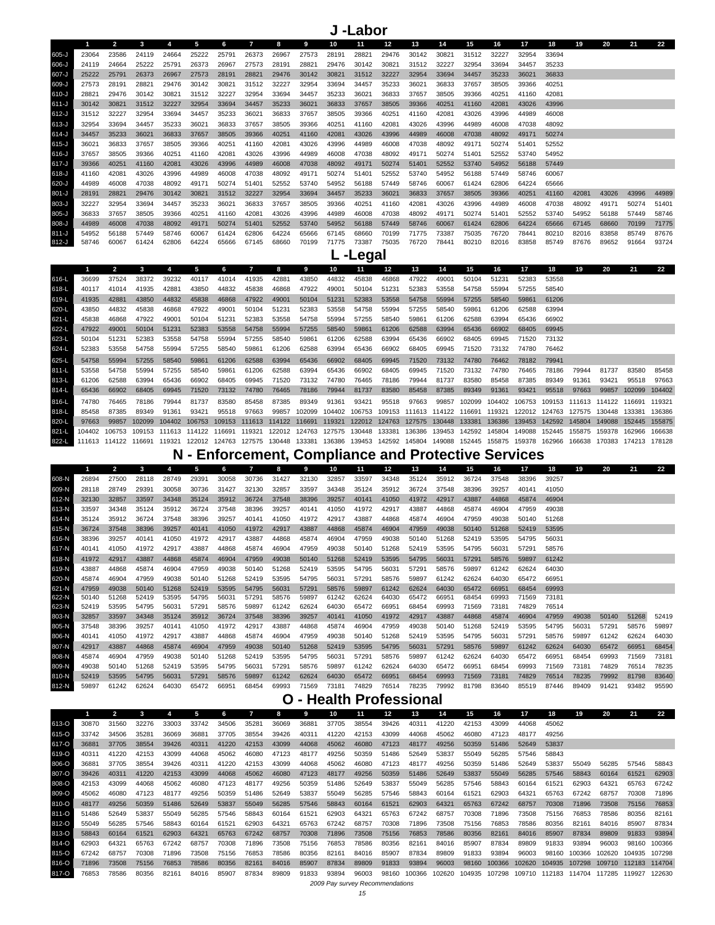**J -Labor**

|           |       | 2     |       |       | 5     | 6     | 7     | 8     | 9     | 10    | 11    | 12    | 13    | 14    | 15    | 16    | 17    | 18    | 19    | 20    | 21    | 22    |
|-----------|-------|-------|-------|-------|-------|-------|-------|-------|-------|-------|-------|-------|-------|-------|-------|-------|-------|-------|-------|-------|-------|-------|
| 605-J     | 23064 | 23586 | 24119 | 24664 | 25222 | 25791 | 26373 | 26967 | 27573 | 28191 | 28821 | 29476 | 30142 | 30821 | 31512 | 32227 | 32954 | 33694 |       |       |       |       |
| 606-J     | 24119 | 24664 | 25222 | 25791 | 26373 | 26967 | 27573 | 28191 | 28821 | 29476 | 30142 | 30821 | 31512 | 32227 | 32954 | 33694 | 34457 | 35233 |       |       |       |       |
| 607-J     | 25222 | 25791 | 26373 | 26967 | 27573 | 28191 | 28821 | 29476 | 30142 | 30821 | 31512 | 32227 | 32954 | 33694 | 34457 | 35233 | 36021 | 36833 |       |       |       |       |
| 609-J     | 27573 | 28191 | 28821 | 29476 | 30142 | 30821 | 31512 | 32227 | 32954 | 33694 | 34457 | 35233 | 36021 | 36833 | 37657 | 38505 | 39366 | 40251 |       |       |       |       |
| 610-J     | 28821 | 29476 | 30142 | 30821 | 31512 | 32227 | 32954 | 33694 | 34457 | 35233 | 36021 | 36833 | 37657 | 38505 | 39366 | 40251 | 41160 | 42081 |       |       |       |       |
| $611 - J$ | 30142 | 30821 | 31512 | 32227 | 32954 | 33694 | 34457 | 35233 | 36021 | 36833 | 37657 | 38505 | 39366 | 40251 | 41160 | 42081 | 43026 | 43996 |       |       |       |       |
| $612-J$   | 31512 | 32227 | 32954 | 33694 | 34457 | 35233 | 36021 | 36833 | 37657 | 38505 | 39366 | 40251 | 41160 | 42081 | 43026 | 43996 | 44989 | 46008 |       |       |       |       |
| $613-J$   | 32954 | 33694 | 34457 | 35233 | 36021 | 36833 | 37657 | 38505 | 39366 | 40251 | 41160 | 42081 | 43026 | 43996 | 44989 | 46008 | 47038 | 48092 |       |       |       |       |
| $614 - J$ | 34457 | 35233 | 36021 | 36833 | 37657 | 38505 | 39366 | 40251 | 41160 | 42081 | 43026 | 43996 | 44989 | 46008 | 47038 | 48092 | 49171 | 50274 |       |       |       |       |
| $615 - J$ | 36021 | 36833 | 37657 | 38505 | 39366 | 40251 | 41160 | 42081 | 43026 | 43996 | 44989 | 46008 | 47038 | 48092 | 49171 | 50274 | 51401 | 52552 |       |       |       |       |
| 616-J     | 37657 | 38505 | 39366 | 40251 | 41160 | 42081 | 43026 | 43996 | 44989 | 46008 | 47038 | 48092 | 49171 | 50274 | 51401 | 52552 | 53740 | 54952 |       |       |       |       |
| $617 - J$ | 39366 | 40251 | 41160 | 42081 | 43026 | 43996 | 44989 | 46008 | 47038 | 48092 | 49171 | 50274 | 51401 | 52552 | 53740 | 54952 | 56188 | 57449 |       |       |       |       |
| 618-J     | 41160 | 42081 | 43026 | 43996 | 44989 | 46008 | 47038 | 48092 | 49171 | 50274 | 51401 | 52552 | 53740 | 54952 | 56188 | 57449 | 58746 | 60067 |       |       |       |       |
| 620-J     | 44989 | 46008 | 47038 | 48092 | 49171 | 50274 | 51401 | 52552 | 53740 | 54952 | 56188 | 57449 | 58746 | 60067 | 61424 | 62806 | 64224 | 65666 |       |       |       |       |
| $801 - J$ | 28191 | 28821 | 29476 | 30142 | 30821 | 31512 | 32227 | 32954 | 33694 | 34457 | 35233 | 36021 | 36833 | 37657 | 38505 | 39366 | 40251 | 41160 | 42081 | 43026 | 43996 | 44989 |
| 803-J     | 32227 | 32954 | 33694 | 34457 | 35233 | 36021 | 36833 | 37657 | 38505 | 39366 | 40251 | 41160 | 42081 | 43026 | 43996 | 44989 | 46008 | 47038 | 48092 | 49171 | 50274 | 51401 |
| $805 - J$ | 36833 | 37657 | 38505 | 39366 | 40251 | 41160 | 42081 | 43026 | 43996 | 44989 | 46008 | 47038 | 48092 | 49171 | 50274 | 51401 | 52552 | 53740 | 54952 | 56188 | 57449 | 58746 |
| $808-J$   | 44989 | 46008 | 47038 | 48092 | 49171 | 50274 | 51401 | 52552 | 53740 | 54952 | 56188 | 57449 | 58746 | 60067 | 61424 | 62806 | 64224 | 65666 | 67145 | 68660 | 70199 | 71775 |
| $811 - J$ | 54952 | 56188 | 57449 | 58746 | 60067 | 61424 | 62806 | 64224 | 65666 | 67145 | 68660 | 70199 | 71775 | 73387 | 75035 | 76720 | 78441 | 80210 | 82016 | 83858 | 85749 | 87676 |
| $812-J$   | 58746 | 60067 | 61424 | 62806 | 64224 | 65666 | 67145 | 68660 | 70199 | 71775 | 73387 | 75035 | 76720 | 78441 | 80210 | 82016 | 83858 | 85749 | 87676 | 89652 | 91664 | 93724 |

**L -Legal**

|           |        |        |                             |                             |        |                      |        | 8      | q             | 10     | 11                   | 12                   | 13     | 14                   | 15                   | 16     | 17                                                      | 18     | 19            | 20     | 21            | 22     |
|-----------|--------|--------|-----------------------------|-----------------------------|--------|----------------------|--------|--------|---------------|--------|----------------------|----------------------|--------|----------------------|----------------------|--------|---------------------------------------------------------|--------|---------------|--------|---------------|--------|
| 616-L     | 36699  | 37524  | 38372                       | 39232                       | 40117  | 41014                | 41935  | 42881  | 43850         | 44832  | 45838                | 46868                | 47922  | 49001                | 50104                | 51231  | 52383                                                   | 53558  |               |        |               |        |
| 618-L     | 40117  | 41014  | 41935                       | 42881                       | 43850  | 44832                | 45838  | 46868  | 47922         | 49001  | 50104                | 51231                | 52383  | 53558                | 54758                | 55994  | 57255                                                   | 58540  |               |        |               |        |
| 619-L     | 41935  | 42881  | 43850                       | 44832                       | 45838  | 46868                | 47922  | 49001  | 50104         | 51231  | 52383                | 53558                | 54758  | 55994                | 57255                | 58540  | 59861                                                   | 61206  |               |        |               |        |
| 620-L     | 43850  | 44832  | 45838                       | 46868                       | 47922  | 49001                | 50104  | 51231  | 52383         | 53558  | 54758                | 55994                | 57255  | 58540                | 59861                | 61206  | 62588                                                   | 63994  |               |        |               |        |
| $621-L$   | 45838  | 46868  | 47922                       | 49001                       | 50104  | 51231                | 52383  | 53558  | 54758         | 55994  | 57255                | 58540                | 59861  | 61206                | 62588                | 63994  | 65436                                                   | 66902  |               |        |               |        |
| 622-L     | 47922  | 49001  | 50104                       | 51231                       | 52383  | 53558                | 54758  | 55994  | 57255         | 58540  | 59861                | 61206                | 62588  | 63994                | 65436                | 66902  | 68405                                                   | 69945  |               |        |               |        |
| 623-L     | 50104  | 51231  | 52383                       | 53558                       | 54758  | 55994                | 57255  | 58540  | 59861         | 61206  | 62588                | 63994                | 65436  | 66902                | 68405                | 69945  | 71520                                                   | 73132  |               |        |               |        |
| 624-L     | 52383  | 53558  | 54758                       | 55994                       | 57255  | 58540                | 59861  | 61206  | 62588         | 63994  | 65436                | 66902                | 68405  | 69945                | 71520                | 73132  | 74780                                                   | 76462  |               |        |               |        |
| 625-L     | 54758  | 55994  | 57255                       | 58540                       | 59861  | 61206                | 62588  | 63994  | 65436         | 66902  | 68405                | 69945                | 71520  | 73132                | 74780                | 76462  | 78182                                                   | 79941  |               |        |               |        |
| 811-L     | 53558  | 54758  | 55994                       | 57255                       | 58540  | 59861                | 61206  | 62588  | 63994         | 65436  | 66902                | 68405                | 69945  | 71520                | 73132                | 74780  | 76465                                                   | 78186  | 79944         | 81737  | 83580         | 85458  |
| 813-L     | 61206  | 62588  | 63994                       | 65436                       | 66902  | 68405                | 69945  | 71520  | 73132         | 74780  | 76465                | 78186                | 79944  | 81737                | 83580                | 85458  | 87385                                                   | 89349  | 91361         | 93421  | 95518         | 97663  |
| 814-L     | 65436  | 66902  | 68405                       | 69945                       | 71520  | 73132                | 74780  | 76465  | 78186         | 79944  | 81737                | 83580                | 85458  | 87385                | 89349                | 91361  | 93421                                                   | 95518  | 97663         | 99857  | 102099        | 104402 |
| 816-L     | 74780  | 76465  | 78186                       | 79944                       | 81737  | 83580                | 85458  | 87385  | 89349         | 91361  | 93421                | 95518                | 97663  | 99857                | 102099               | 104402 | 106753                                                  | 109153 | 111613 114122 |        | 116691        | 119321 |
| 818-L     | 85458  | 87385  | 89349                       | 91361                       | 93421  | 95518                | 97663  | 99857  | 102099        | 104402 |                      |                      |        |                      |                      |        | 106753 109153 111613 114122 116691 119321 122012 124763 |        | 127575 130448 |        | 133381        | 136386 |
| 820-L     | 97663  | 99857  | 102099                      | 104402                      | 106753 | 109153               | 111613 | 114122 | 116691        | 119321 |                      | 122012 124763        |        | 127575 130448 133381 |                      | 136386 | 139453 142592                                           |        | 145804        | 149088 | 152445        | 155875 |
| $821 - L$ | 104402 | 106753 |                             | 109153 111613 114122 116691 |        |                      | 119321 |        | 122012 124763 |        | 127575 130448 133381 |                      | 136386 | 139453               | 142592               | 145804 | 149088                                                  | 152445 | 155875        | 159378 | 162966        | 166638 |
| 822-L     |        |        | 111613 114122 116691 119321 |                             |        | 122012 124763 127575 |        | 130448 | 133381        |        |                      | 136386 139453 142592 |        |                      | 145804 149088 152445 | 155875 | 159378 162966                                           |        | 166638        | 170383 | 174213 178128 |        |

**N - Enforcement, Compliance and Protective Services**

|         | $\mathbf{1}$ | $\overline{2}$ | 3     | 4     | 5     | 6     | $\overline{7}$ | 8     | 9     | 10    | 11    | $12 \overline{ }$ | 13    | 14    | 15    | 16    | 17    | 18    | 19    | 20    | 21    | 22    |
|---------|--------------|----------------|-------|-------|-------|-------|----------------|-------|-------|-------|-------|-------------------|-------|-------|-------|-------|-------|-------|-------|-------|-------|-------|
| 608-N   | 26894        | 27500          | 28118 | 28749 | 29391 | 30058 | 30736          | 31427 | 32130 | 32857 | 33597 | 34348             | 35124 | 35912 | 36724 | 37548 | 38396 | 39257 |       |       |       |       |
| 609-N   | 28118        | 28749          | 29391 | 30058 | 30736 | 31427 | 32130          | 32857 | 33597 | 34348 | 35124 | 35912             | 36724 | 37548 | 38396 | 39257 | 40141 | 41050 |       |       |       |       |
| 612-N   | 32130        | 32857          | 33597 | 34348 | 35124 | 35912 | 36724          | 37548 | 38396 | 39257 | 40141 | 41050             | 41972 | 42917 | 43887 | 44868 | 45874 | 46904 |       |       |       |       |
| 613-N   | 33597        | 34348          | 35124 | 35912 | 36724 | 37548 | 38396          | 39257 | 40141 | 41050 | 41972 | 42917             | 43887 | 44868 | 45874 | 46904 | 47959 | 49038 |       |       |       |       |
| 614-N   | 35124        | 35912          | 36724 | 37548 | 38396 | 39257 | 40141          | 41050 | 41972 | 42917 | 43887 | 44868             | 45874 | 46904 | 47959 | 49038 | 50140 | 51268 |       |       |       |       |
| $615-N$ | 36724        | 37548          | 38396 | 39257 | 40141 | 41050 | 41972          | 42917 | 43887 | 44868 | 45874 | 46904             | 47959 | 49038 | 50140 | 51268 | 52419 | 53595 |       |       |       |       |
| 616-N   | 38396        | 39257          | 40141 | 41050 | 41972 | 42917 | 43887          | 44868 | 45874 | 46904 | 47959 | 49038             | 50140 | 51268 | 52419 | 53595 | 54795 | 56031 |       |       |       |       |
| 617-N   | 40141        | 41050          | 41972 | 42917 | 43887 | 44868 | 45874          | 46904 | 47959 | 49038 | 50140 | 51268             | 52419 | 53595 | 54795 | 56031 | 57291 | 58576 |       |       |       |       |
| 618-N   | 41972        | 42917          | 43887 | 44868 | 45874 | 46904 | 47959          | 49038 | 50140 | 51268 | 52419 | 53595             | 54795 | 56031 | 57291 | 58576 | 59897 | 61242 |       |       |       |       |
| 619-N   | 43887        | 44868          | 45874 | 46904 | 47959 | 49038 | 50140          | 51268 | 52419 | 53595 | 54795 | 56031             | 57291 | 58576 | 59897 | 61242 | 62624 | 64030 |       |       |       |       |
| 620-N   | 45874        | 46904          | 47959 | 49038 | 50140 | 51268 | 52419          | 53595 | 54795 | 56031 | 57291 | 58576             | 59897 | 61242 | 62624 | 64030 | 65472 | 66951 |       |       |       |       |
| 621-N   | 47959        | 49038          | 50140 | 51268 | 52419 | 53595 | 54795          | 56031 | 57291 | 58576 | 59897 | 61242             | 62624 | 64030 | 65472 | 66951 | 68454 | 69993 |       |       |       |       |
| 622-N   | 50140        | 51268          | 52419 | 53595 | 54795 | 56031 | 57291          | 58576 | 59897 | 61242 | 62624 | 64030             | 65472 | 66951 | 68454 | 69993 | 71569 | 73181 |       |       |       |       |
| 623-N   | 52419        | 53595          | 54795 | 56031 | 57291 | 58576 | 59897          | 61242 | 62624 | 64030 | 65472 | 66951             | 68454 | 69993 | 71569 | 73181 | 74829 | 76514 |       |       |       |       |
| 803-N   | 32857        | 33597          | 34348 | 35124 | 35912 | 36724 | 37548          | 38396 | 39257 | 40141 | 41050 | 41972             | 42917 | 43887 | 44868 | 45874 | 46904 | 47959 | 49038 | 50140 | 51268 | 52419 |
| 805-N   | 37548        | 38396          | 39257 | 40141 | 41050 | 41972 | 42917          | 43887 | 44868 | 45874 | 46904 | 47959             | 49038 | 50140 | 51268 | 52419 | 53595 | 54795 | 56031 | 57291 | 58576 | 59897 |
| 806-N   | 40141        | 41050          | 41972 | 42917 | 43887 | 44868 | 45874          | 46904 | 47959 | 49038 | 50140 | 51268             | 52419 | 53595 | 54795 | 56031 | 57291 | 58576 | 59897 | 61242 | 62624 | 64030 |
| 807-N   | 42917        | 43887          | 44868 | 45874 | 46904 | 47959 | 49038          | 50140 | 51268 | 52419 | 53595 | 54795             | 56031 | 57291 | 58576 | 59897 | 61242 | 62624 | 64030 | 65472 | 66951 | 68454 |
| 808-N   | 45874        | 46904          | 47959 | 49038 | 50140 | 51268 | 52419          | 53595 | 54795 | 56031 | 57291 | 58576             | 59897 | 61242 | 62624 | 64030 | 65472 | 66951 | 68454 | 69993 | 71569 | 73181 |
| 809-N   | 49038        | 50140          | 51268 | 52419 | 53595 | 54795 | 56031          | 57291 | 58576 | 59897 | 61242 | 62624             | 64030 | 65472 | 66951 | 68454 | 69993 | 71569 | 73181 | 74829 | 76514 | 78235 |
| 810-N   | 52419        | 53595          | 54795 | 56031 | 57291 | 58576 | 59897          | 61242 | 62624 | 64030 | 65472 | 66951             | 68454 | 69993 | 71569 | 73181 | 74829 | 76514 | 78235 | 79992 | 81798 | 83640 |
| 812-N   | 59897        | 61242          | 62624 | 64030 | 65472 | 66951 | 68454          | 69993 | 71569 | 73181 | 74829 | 76514             | 78235 | 79992 | 81798 | 83640 | 85519 | 87446 | 89409 | 91421 | 93482 | 95590 |
|         |              |                |       |       |       |       |                |       |       |       |       |                   |       |       |       |       |       |       |       |       |       |       |

#### **O - Health Professional**

|       |       |       |       |       | 5     | 6     |       | 8     | 9     | 10    | 11                              | 12    | 13     | 14     | 15     | 16     | 17     | 18            | 19     | 20     | 21            | 22     |
|-------|-------|-------|-------|-------|-------|-------|-------|-------|-------|-------|---------------------------------|-------|--------|--------|--------|--------|--------|---------------|--------|--------|---------------|--------|
| 613-O | 30870 | 31560 | 32276 | 33003 | 33742 | 34506 | 35281 | 36069 | 36881 | 37705 | 38554                           | 39426 | 40311  | 41220  | 42153  | 43099  | 44068  | 45062         |        |        |               |        |
| 615-O | 33742 | 34506 | 35281 | 36069 | 36881 | 37705 | 38554 | 39426 | 40311 | 41220 | 42153                           | 43099 | 44068  | 45062  | 46080  | 47123  | 48177  | 49256         |        |        |               |        |
| 617-O | 36881 | 37705 | 38554 | 39426 | 40311 | 41220 | 42153 | 43099 | 44068 | 45062 | 46080                           | 47123 | 48177  | 49256  | 50359  | 51486  | 52649  | 53837         |        |        |               |        |
| 619-O | 40311 | 41220 | 42153 | 43099 | 44068 | 45062 | 46080 | 47123 | 48177 | 49256 | 50359                           | 51486 | 52649  | 53837  | 55049  | 56285  | 57546  | 58843         |        |        |               |        |
| 806-O | 36881 | 37705 | 38554 | 39426 | 40311 | 41220 | 42153 | 43099 | 44068 | 45062 | 46080                           | 47123 | 48177  | 49256  | 50359  | 51486  | 52649  | 53837         | 55049  | 56285  | 57546         | 58843  |
| 807-O | 39426 | 40311 | 41220 | 42153 | 43099 | 44068 | 45062 | 46080 | 47123 | 48177 | 49256                           | 50359 | 51486  | 52649  | 53837  | 55049  | 56285  | 57546         | 58843  | 60164  | 61521         | 62903  |
| 808-O | 42153 | 43099 | 44068 | 45062 | 46080 | 47123 | 48177 | 49256 | 50359 | 51486 | 52649                           | 53837 | 55049  | 56285  | 57546  | 58843  | 60164  | 61521         | 62903  | 64321  | 65763         | 67242  |
| 809-O | 45062 | 46080 | 47123 | 48177 | 49256 | 50359 | 51486 | 52649 | 53837 | 55049 | 56285                           | 57546 | 58843  | 60164  | 61521  | 62903  | 64321  | 65763         | 67242  | 68757  | 70308         | 71896  |
| 810-O | 48177 | 49256 | 50359 | 51486 | 52649 | 53837 | 55049 | 56285 | 57546 | 58843 | 60164                           | 61521 | 62903  | 64321  | 65763  | 67242  | 68757  | 70308         | 71896  | 73508  | 75156         | 76853  |
| 811-O | 51486 | 52649 | 53837 | 55049 | 56285 | 57546 | 58843 | 60164 | 61521 | 62903 | 64321                           | 65763 | 67242  | 68757  | 70308  | 71896  | 73508  | 75156         | 76853  | 78586  | 80356         | 82161  |
| 812-O | 55049 | 56285 | 57546 | 58843 | 60164 | 61521 | 62903 | 64321 | 65763 | 67242 | 68757                           | 70308 | 71896  | 73508  | 75156  | 76853  | 78586  | 80356         | 82161  | 84016  | 85907         | 87834  |
| 813-O | 58843 | 60164 | 61521 | 62903 | 64321 | 65763 | 67242 | 68757 | 70308 | 71896 | 73508                           | 75156 | 76853  | 78586  | 80356  | 82161  | 84016  | 85907         | 87834  | 89809  | 91833         | 93894  |
| 814-O | 62903 | 64321 | 65763 | 67242 | 68757 | 70308 | 71896 | 73508 | 75156 | 76853 | 78586                           | 80356 | 82161  | 84016  | 85907  | 87834  | 89809  | 91833         | 93894  | 96003  | 98160         | 100366 |
| 815-O | 67242 | 68757 | 70308 | 71896 | 73508 | 75156 | 76853 | 78586 | 80356 | 82161 | 84016                           | 85907 | 87834  | 89809  | 91833  | 93894  | 96003  | 98160         | 100366 | 102620 | 104935        | 107298 |
| 816-O | 71896 | 73508 | 75156 | 76853 | 78586 | 80356 | 82161 | 84016 | 85907 | 87834 | 89809                           | 91833 | 93894  | 96003  | 98160  | 100366 | 102620 | 104935        | 107298 |        | 109710 112183 | 114704 |
| 817-O | 76853 | 78586 | 80356 | 82161 | 84016 | 85907 | 87834 | 89809 | 91833 | 93894 | 96003                           | 98160 | 100366 | 102620 | 104935 | 107298 |        | 109710 112183 | 114704 | 117285 | 119927        | 122630 |
|       |       |       |       |       |       |       |       |       |       |       | 2009 Pay survey Recommendations |       |        |        |        |        |        |               |        |        |               |        |